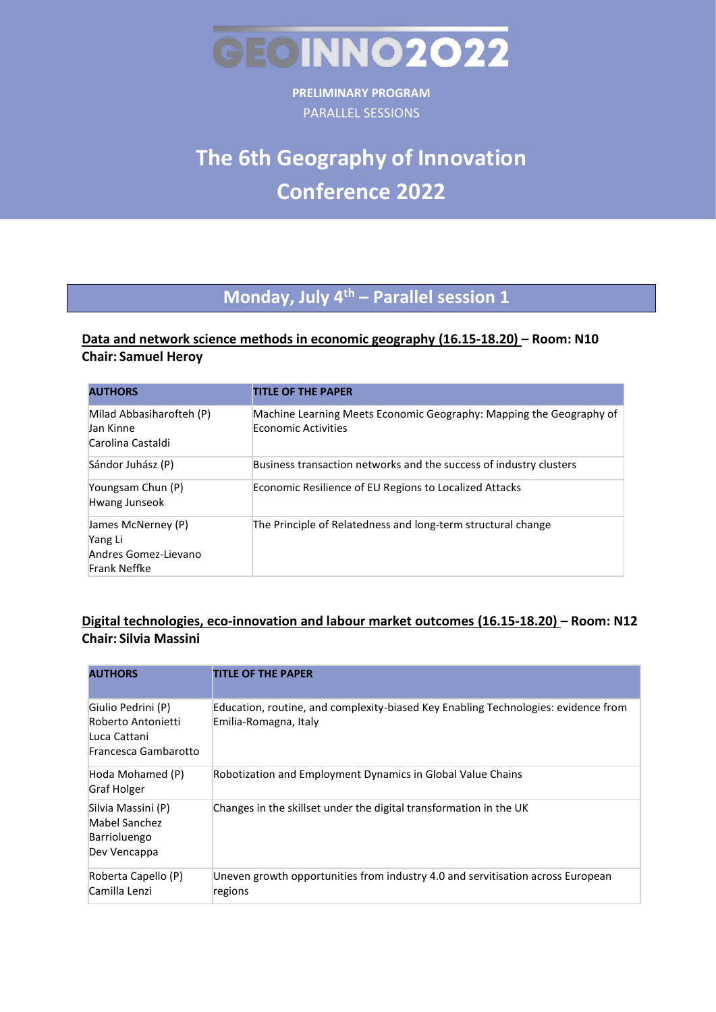

**PRELIMINARY PROGRAM**  PARALLEL SESSIONS

# **The 6th Geography of Innovation Conference 2022**

## **Monday, July 4th – Parallel session 1**

### **Data and network science methods in economic geography (16.15-18.20) – Room: N10 Chair: Samuel Heroy**

| <b>AUTHORS</b>                                                        | <b>TITLE OF THE PAPER</b>                                                                         |
|-----------------------------------------------------------------------|---------------------------------------------------------------------------------------------------|
| Milad Abbasiharofteh (P)<br>Jan Kinne<br>Carolina Castaldi            | Machine Learning Meets Economic Geography: Mapping the Geography of<br><b>Economic Activities</b> |
| Sándor Juhász (P)                                                     | Business transaction networks and the success of industry clusters                                |
| Youngsam Chun (P)<br>Hwang Junseok                                    | Economic Resilience of EU Regions to Localized Attacks                                            |
| James McNerney (P)<br>Yang Li<br>Andres Gomez-Lievano<br>Frank Neffke | The Principle of Relatedness and long-term structural change                                      |

### **Digital technologies, eco-innovation and labour market outcomes (16.15-18.20) – Room: N12 Chair: Silvia Massini**

| <b>AUTHORS</b>                                                                   | <b>TITLE OF THE PAPER</b>                                                                                   |
|----------------------------------------------------------------------------------|-------------------------------------------------------------------------------------------------------------|
| Giulio Pedrini (P)<br>Roberto Antonietti<br>Luca Cattani<br>Francesca Gambarotto | Education, routine, and complexity-biased Key Enabling Technologies: evidence from<br>Emilia-Romagna, Italy |
| Hoda Mohamed (P)<br>Graf Holger                                                  | Robotization and Employment Dynamics in Global Value Chains                                                 |
| Silvia Massini (P)<br>Mabel Sanchez<br>Barrioluengo<br>Dev Vencappa              | Changes in the skillset under the digital transformation in the UK                                          |
| Roberta Capello (P)<br>Camilla Lenzi                                             | Uneven growth opportunities from industry 4.0 and servitisation across European<br>regions                  |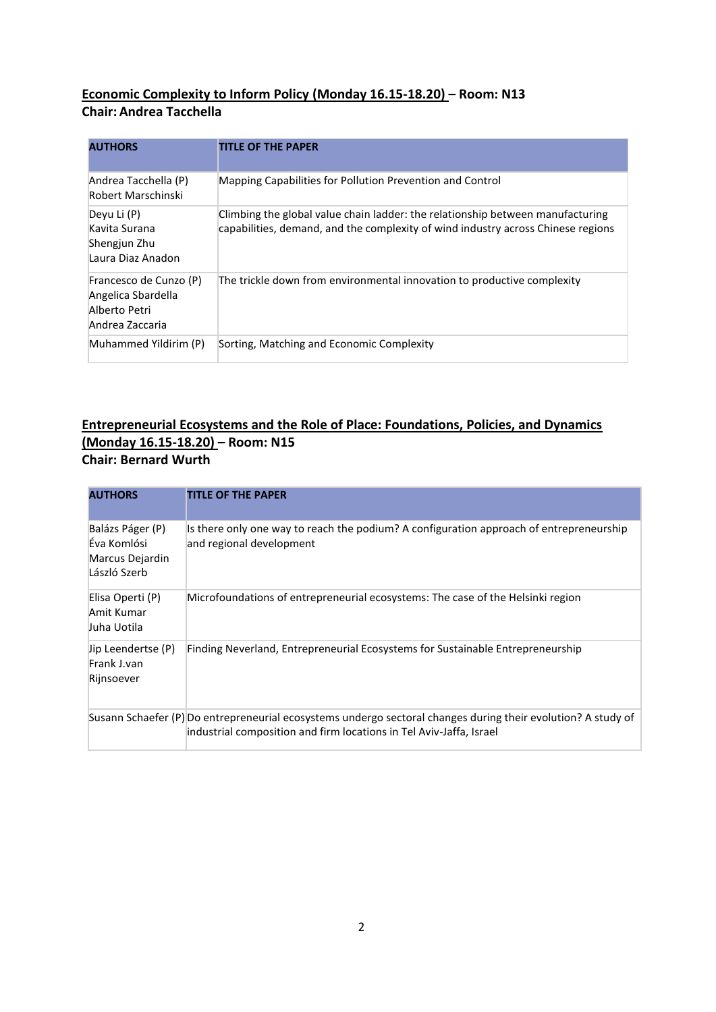### **Economic Complexity to Inform Policy (Monday 16.15-18.20) – Room: N13 Chair: Andrea Tacchella**

| <b>AUTHORS</b>                                                                   | <b>TITLE OF THE PAPER</b>                                                                                                                                          |
|----------------------------------------------------------------------------------|--------------------------------------------------------------------------------------------------------------------------------------------------------------------|
| Andrea Tacchella (P)<br>Robert Marschinski                                       | Mapping Capabilities for Pollution Prevention and Control                                                                                                          |
| Deyu Li (P)<br>Kavita Surana<br>Shengjun Zhu<br>Laura Diaz Anadon                | Climbing the global value chain ladder: the relationship between manufacturing<br>capabilities, demand, and the complexity of wind industry across Chinese regions |
| Francesco de Cunzo (P)<br>Angelica Sbardella<br>Alberto Petri<br>Andrea Zaccaria | The trickle down from environmental innovation to productive complexity                                                                                            |
| Muhammed Yildirim (P)                                                            | Sorting, Matching and Economic Complexity                                                                                                                          |

### **Entrepreneurial Ecosystems and the Role of Place: Foundations, Policies, and Dynamics (Monday 16.15-18.20) – Room: N15 Chair: Bernard Wurth**

| <b>AUTHORS</b>                                                     | <b>TITLE OF THE PAPER</b>                                                                                                                                                            |
|--------------------------------------------------------------------|--------------------------------------------------------------------------------------------------------------------------------------------------------------------------------------|
| Balázs Páger (P)<br>Éva Komlósi<br>Marcus Dejardin<br>László Szerb | Is there only one way to reach the podium? A configuration approach of entrepreneurship<br>and regional development                                                                  |
| Elisa Operti (P)<br>Amit Kumar<br>Juha Uotila                      | Microfoundations of entrepreneurial ecosystems: The case of the Helsinki region                                                                                                      |
| Jip Leendertse (P)<br>Frank J.van<br>Rijnsoever                    | Finding Neverland, Entrepreneurial Ecosystems for Sustainable Entrepreneurship                                                                                                       |
|                                                                    | Susann Schaefer (P) Do entrepreneurial ecosystems undergo sectoral changes during their evolution? A study of<br>industrial composition and firm locations in Tel Aviv-Jaffa, Israel |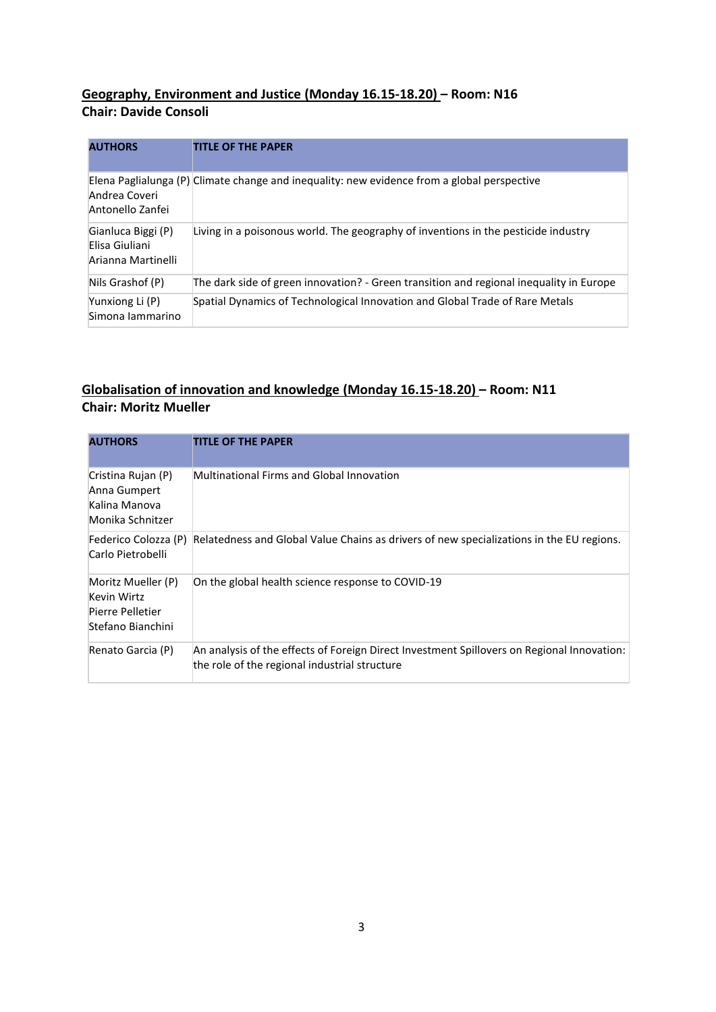### **Geography, Environment and Justice (Monday 16.15-18.20) – Room: N16 Chair: Davide Consoli**

| <b>AUTHORS</b>                                             | <b>TITLE OF THE PAPER</b>                                                                   |
|------------------------------------------------------------|---------------------------------------------------------------------------------------------|
| Andrea Coveri<br>Antonello Zanfei                          | Elena Paglialunga (P) Climate change and inequality: new evidence from a global perspective |
| Gianluca Biggi (P)<br>Elisa Giuliani<br>Arianna Martinelli | Living in a poisonous world. The geography of inventions in the pesticide industry          |
| Nils Grashof (P)                                           | The dark side of green innovation? - Green transition and regional inequality in Europe     |
| Yunxiong Li (P)<br>Simona lammarino                        | Spatial Dynamics of Technological Innovation and Global Trade of Rare Metals                |

### **Globalisation of innovation and knowledge (Monday 16.15-18.20) – Room: N11 Chair: Moritz Mueller**

| <b>AUTHORS</b>                                                             | <b>TITLE OF THE PAPER</b>                                                                                                                   |
|----------------------------------------------------------------------------|---------------------------------------------------------------------------------------------------------------------------------------------|
| Cristina Rujan (P)<br>Anna Gumpert<br>Kalina Manova<br>Monika Schnitzer    | Multinational Firms and Global Innovation                                                                                                   |
| Federico Colozza (P)<br>Carlo Pietrobelli                                  | Relatedness and Global Value Chains as drivers of new specializations in the EU regions.                                                    |
| Moritz Mueller (P)<br>Kevin Wirtz<br>Pierre Pelletier<br>Stefano Bianchini | On the global health science response to COVID-19                                                                                           |
| Renato Garcia (P)                                                          | An analysis of the effects of Foreign Direct Investment Spillovers on Regional Innovation:<br>the role of the regional industrial structure |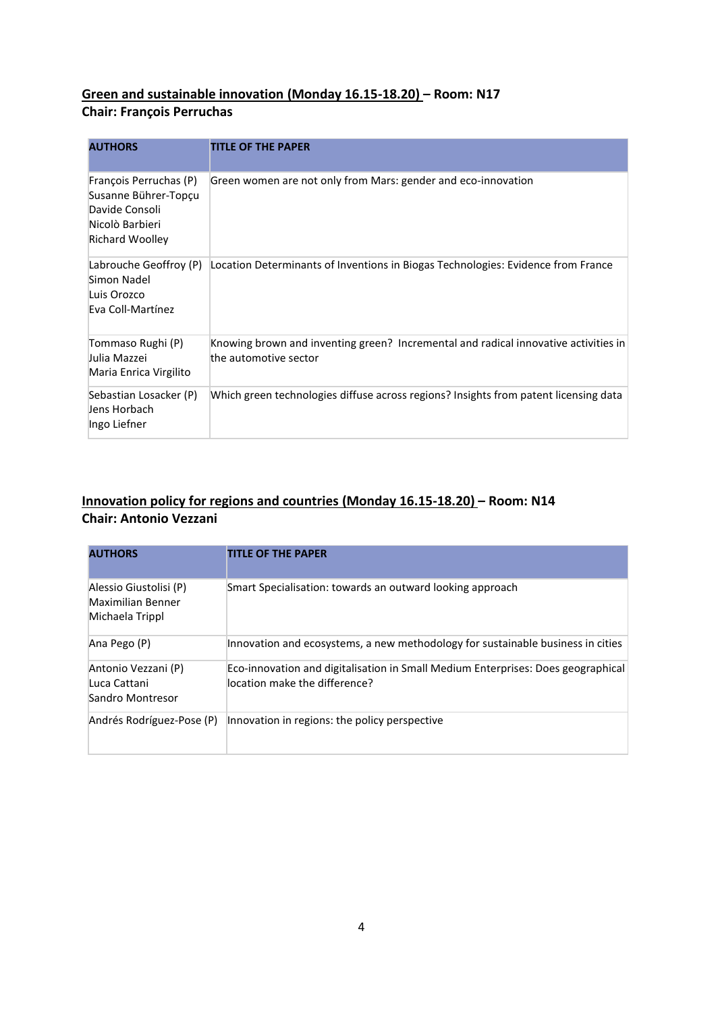### **Green and sustainable innovation (Monday 16.15-18.20) – Room: N17 Chair: François Perruchas**

| <b>AUTHORS</b>                                                                                                | <b>TITLE OF THE PAPER</b>                                                                                    |
|---------------------------------------------------------------------------------------------------------------|--------------------------------------------------------------------------------------------------------------|
| François Perruchas (P)<br>Susanne Bührer-Topçu<br>Davide Consoli<br>Nicolò Barbieri<br><b>Richard Woolley</b> | Green women are not only from Mars: gender and eco-innovation                                                |
| Labrouche Geoffroy (P)<br>Simon Nadel<br>Luis Orozco<br>Eva Coll-Martínez                                     | Location Determinants of Inventions in Biogas Technologies: Evidence from France                             |
| Tommaso Rughi (P)<br>Julia Mazzei<br>Maria Enrica Virgilito                                                   | Knowing brown and inventing green? Incremental and radical innovative activities in<br>the automotive sector |
| Sebastian Losacker (P)<br>Jens Horbach<br>Ingo Liefner                                                        | Which green technologies diffuse across regions? Insights from patent licensing data                         |

### **Innovation policy for regions and countries (Monday 16.15-18.20) – Room: N14 Chair: Antonio Vezzani**

| <b>AUTHORS</b>                                                 | <b>TITLE OF THE PAPER</b>                                                                                         |
|----------------------------------------------------------------|-------------------------------------------------------------------------------------------------------------------|
| Alessio Giustolisi (P)<br>Maximilian Benner<br>Michaela Trippl | Smart Specialisation: towards an outward looking approach                                                         |
| Ana Pego (P)                                                   | Innovation and ecosystems, a new methodology for sustainable business in cities                                   |
| Antonio Vezzani (P)<br>Luca Cattani<br>Sandro Montresor        | Eco-innovation and digitalisation in Small Medium Enterprises: Does geographical<br>location make the difference? |
| Andrés Rodríguez-Pose (P)                                      | Innovation in regions: the policy perspective                                                                     |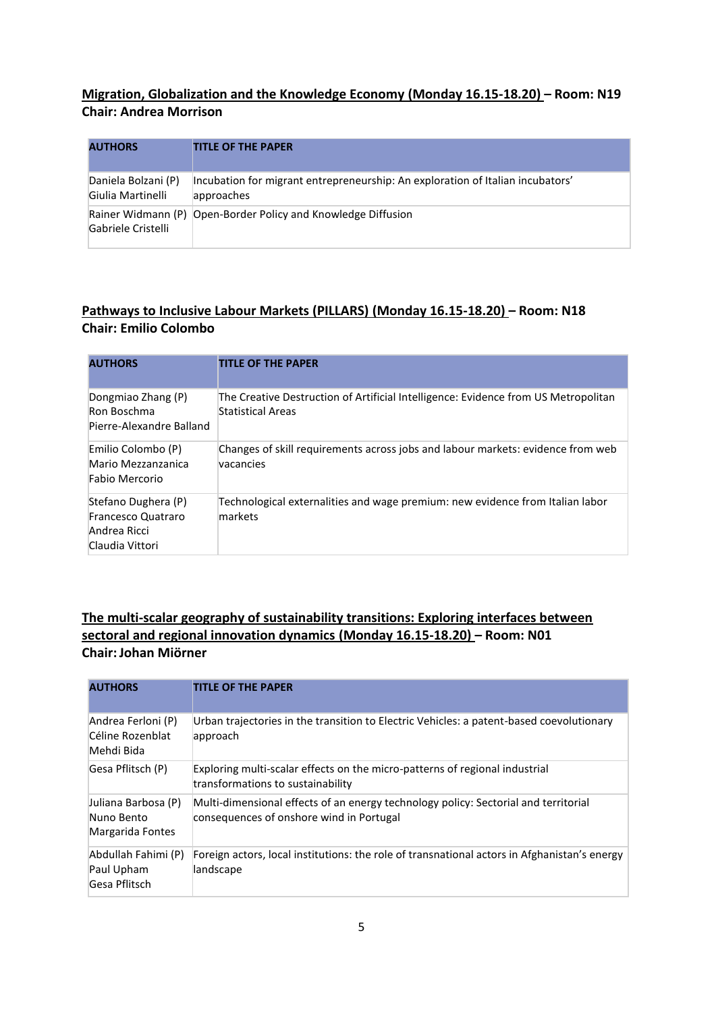### **Migration, Globalization and the Knowledge Economy (Monday 16.15-18.20) – Room: N19 Chair: Andrea Morrison**

| <b>AUTHORS</b>                           | <b>TITLE OF THE PAPER</b>                                                                    |
|------------------------------------------|----------------------------------------------------------------------------------------------|
| Daniela Bolzani (P)<br>Giulia Martinelli | Incubation for migrant entrepreneurship: An exploration of Italian incubators'<br>approaches |
| Gabriele Cristelli                       | Rainer Widmann (P) Open-Border Policy and Knowledge Diffusion                                |

### **Pathways to Inclusive Labour Markets (PILLARS) (Monday 16.15-18.20) – Room: N18 Chair: Emilio Colombo**

| <b>AUTHORS</b>                                                               | <b>TITLE OF THE PAPER</b>                                                                               |
|------------------------------------------------------------------------------|---------------------------------------------------------------------------------------------------------|
| Dongmiao Zhang (P)<br>Ron Boschma<br>Pierre-Alexandre Balland                | The Creative Destruction of Artificial Intelligence: Evidence from US Metropolitan<br>Statistical Areas |
| Emilio Colombo (P)<br>Mario Mezzanzanica<br>Fabio Mercorio                   | Changes of skill requirements across jobs and labour markets: evidence from web<br>vacancies            |
| Stefano Dughera (P)<br>Francesco Quatraro<br>Andrea Ricci<br>Claudia Vittori | Technological externalities and wage premium: new evidence from Italian labor<br>markets                |

### **The multi-scalar geography of sustainability transitions: Exploring interfaces between sectoral and regional innovation dynamics (Monday 16.15-18.20) – Room: N01 Chair:Johan Miörner**

| <b>AUTHORS</b>                                        | <b>TITLE OF THE PAPER</b>                                                                                                       |
|-------------------------------------------------------|---------------------------------------------------------------------------------------------------------------------------------|
| Andrea Ferloni (P)<br>Céline Rozenblat<br>Mehdi Bida  | Urban trajectories in the transition to Electric Vehicles: a patent-based coevolutionary<br>approach                            |
| Gesa Pflitsch (P)                                     | Exploring multi-scalar effects on the micro-patterns of regional industrial<br>transformations to sustainability                |
| Juliana Barbosa (P)<br>Nuno Bento<br>Margarida Fontes | Multi-dimensional effects of an energy technology policy: Sectorial and territorial<br>consequences of onshore wind in Portugal |
| Abdullah Fahimi (P)<br>Paul Upham<br>Gesa Pflitsch    | Foreign actors, local institutions: the role of transnational actors in Afghanistan's energy<br>landscape                       |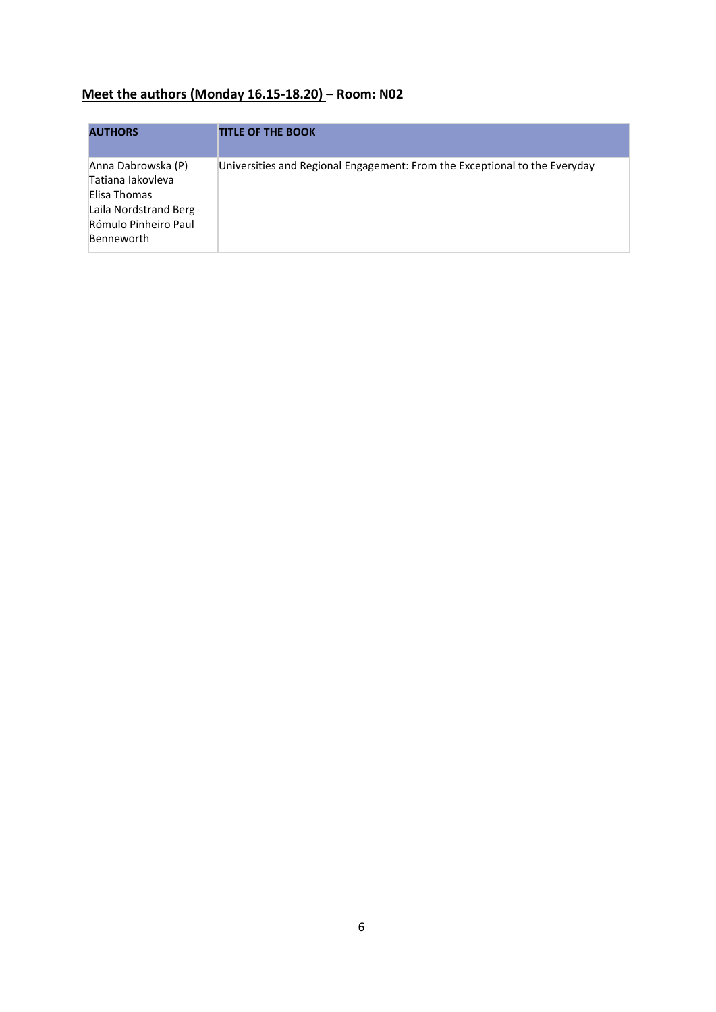## **Meet the authors (Monday 16.15-18.20) – Room: N02**

| <b>AUTHORS</b>                                                                                                                | <b>TITLE OF THE BOOK</b>                                                   |
|-------------------------------------------------------------------------------------------------------------------------------|----------------------------------------------------------------------------|
| Anna Dabrowska (P)<br>Tatiana lakovleva<br>Elisa Thomas<br>Laila Nordstrand Berg<br>Rómulo Pinheiro Paul<br><b>Benneworth</b> | Universities and Regional Engagement: From the Exceptional to the Everyday |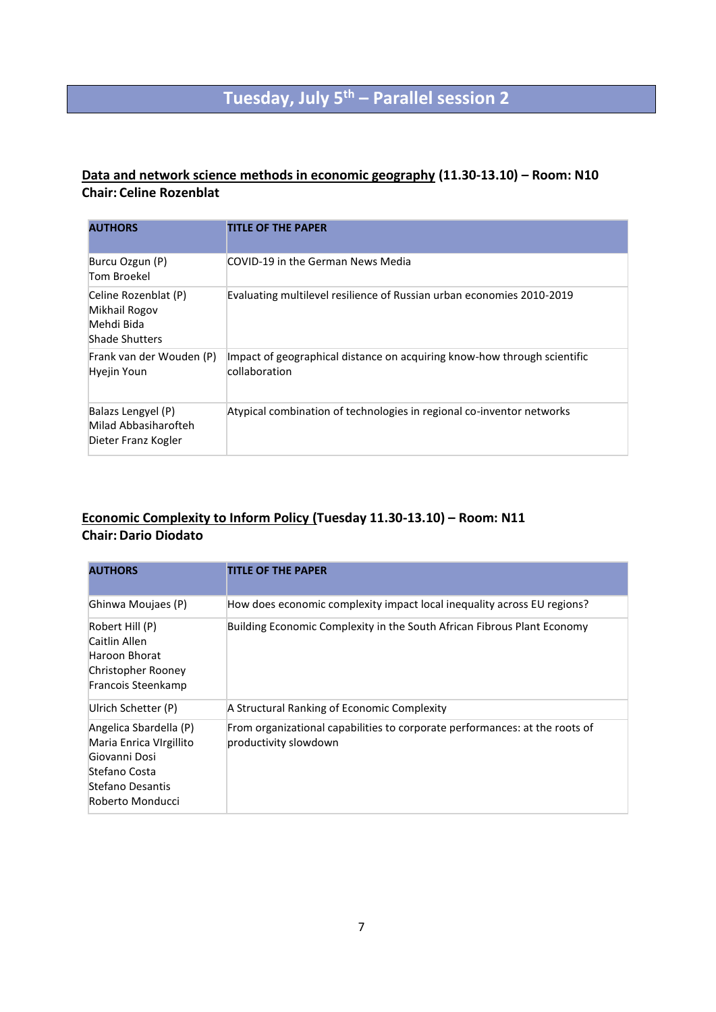## **Tuesday, July 5th – Parallel session 2**

### **Data and network science methods in economic geography (11.30-13.10) – Room: N10 Chair: Celine Rozenblat**

| <b>AUTHORS</b>                                                               | <b>TITLE OF THE PAPER</b>                                                                 |
|------------------------------------------------------------------------------|-------------------------------------------------------------------------------------------|
| Burcu Ozgun (P)<br>Tom Broekel                                               | COVID-19 in the German News Media                                                         |
| Celine Rozenblat (P)<br>Mikhail Rogov<br>Mehdi Bida<br><b>Shade Shutters</b> | Evaluating multilevel resilience of Russian urban economies 2010-2019                     |
| Frank van der Wouden (P)<br>Hyejin Youn                                      | Impact of geographical distance on acquiring know-how through scientific<br>collaboration |
| Balazs Lengyel (P)<br>Milad Abbasiharofteh<br>Dieter Franz Kogler            | Atypical combination of technologies in regional co-inventor networks                     |

### **Economic Complexity to Inform Policy (Tuesday 11.30-13.10) – Room: N11 Chair:Dario Diodato**

| <b>AUTHORS</b>                                                                                                              | <b>TITLE OF THE PAPER</b>                                                                            |
|-----------------------------------------------------------------------------------------------------------------------------|------------------------------------------------------------------------------------------------------|
| Ghinwa Moujaes (P)                                                                                                          | How does economic complexity impact local inequality across EU regions?                              |
| Robert Hill (P)<br>Caitlin Allen<br>Haroon Bhorat<br>Christopher Rooney<br>Francois Steenkamp                               | Building Economic Complexity in the South African Fibrous Plant Economy                              |
| Ulrich Schetter (P)                                                                                                         | A Structural Ranking of Economic Complexity                                                          |
| Angelica Sbardella (P)<br>Maria Enrica VIrgillito<br>Giovanni Dosi<br>Stefano Costa<br>Stefano Desantis<br>Roberto Monducci | From organizational capabilities to corporate performances: at the roots of<br>productivity slowdown |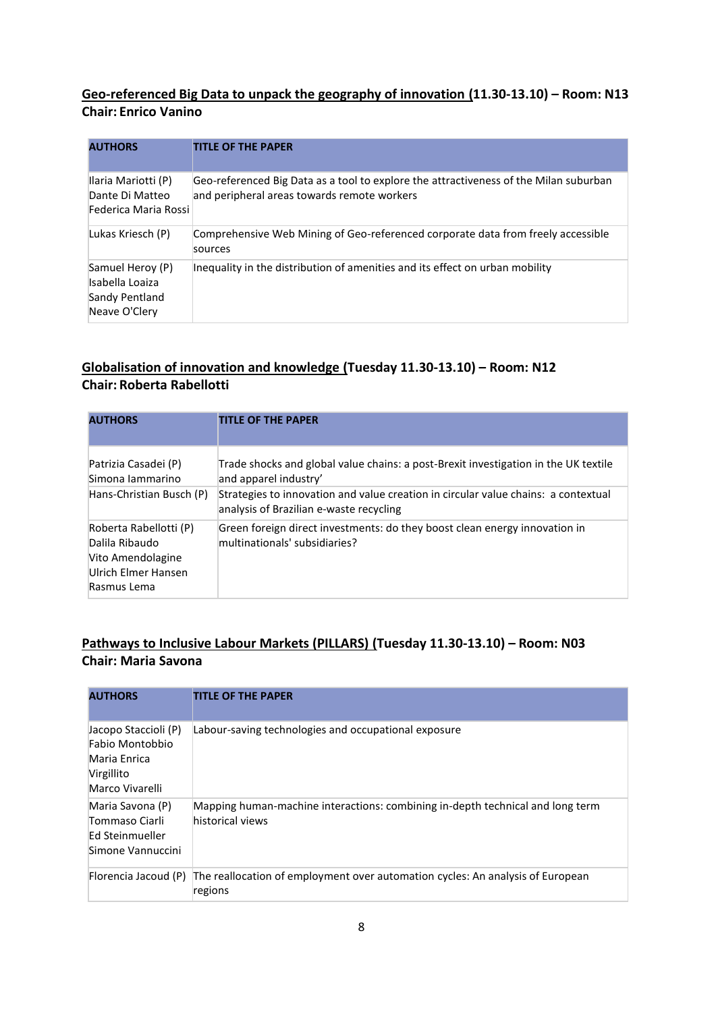### **Geo-referenced Big Data to unpack the geography of innovation (11.30-13.10) – Room: N13 Chair: Enrico Vanino**

| <b>AUTHORS</b>                                                         | <b>TITLE OF THE PAPER</b>                                                                                                            |
|------------------------------------------------------------------------|--------------------------------------------------------------------------------------------------------------------------------------|
| Ilaria Mariotti (P)<br>Dante Di Matteo<br>Federica Maria Rossi         | Geo-referenced Big Data as a tool to explore the attractiveness of the Milan suburban<br>and peripheral areas towards remote workers |
| Lukas Kriesch (P)                                                      | Comprehensive Web Mining of Geo-referenced corporate data from freely accessible<br>sources                                          |
| Samuel Heroy (P)<br>Isabella Loaiza<br>Sandy Pentland<br>Neave O'Clery | Inequality in the distribution of amenities and its effect on urban mobility                                                         |

### **Globalisation of innovation and knowledge (Tuesday 11.30-13.10) – Room: N12 Chair: Roberta Rabellotti**

| <b>AUTHORS</b>                                                                                      | <b>TITLE OF THE PAPER</b>                                                                                                     |
|-----------------------------------------------------------------------------------------------------|-------------------------------------------------------------------------------------------------------------------------------|
| Patrizia Casadei (P)<br>Simona Jammarino                                                            | Trade shocks and global value chains: a post-Brexit investigation in the UK textile<br>and apparel industry'                  |
| Hans-Christian Busch (P)                                                                            | Strategies to innovation and value creation in circular value chains: a contextual<br>analysis of Brazilian e-waste recycling |
| Roberta Rabellotti (P)<br>Dalila Ribaudo<br>Vito Amendolagine<br>Ulrich Elmer Hansen<br>Rasmus Lema | Green foreign direct investments: do they boost clean energy innovation in<br>multinationals' subsidiaries?                   |

### **Pathways to Inclusive Labour Markets (PILLARS) (Tuesday 11.30-13.10) – Room: N03 Chair: Maria Savona**

| <b>AUTHORS</b>                                                                           | <b>TITLE OF THE PAPER</b>                                                                          |
|------------------------------------------------------------------------------------------|----------------------------------------------------------------------------------------------------|
| Jacopo Staccioli (P)<br>Fabio Montobbio<br>Maria Enrica<br>Virgillito<br>Marco Vivarelli | Labour-saving technologies and occupational exposure                                               |
| Maria Savona (P)<br>Tommaso Ciarli<br>Ed Steinmueller<br>Simone Vannuccini               | Mapping human-machine interactions: combining in-depth technical and long term<br>historical views |
| Florencia Jacoud (P)                                                                     | The reallocation of employment over automation cycles: An analysis of European<br>regions          |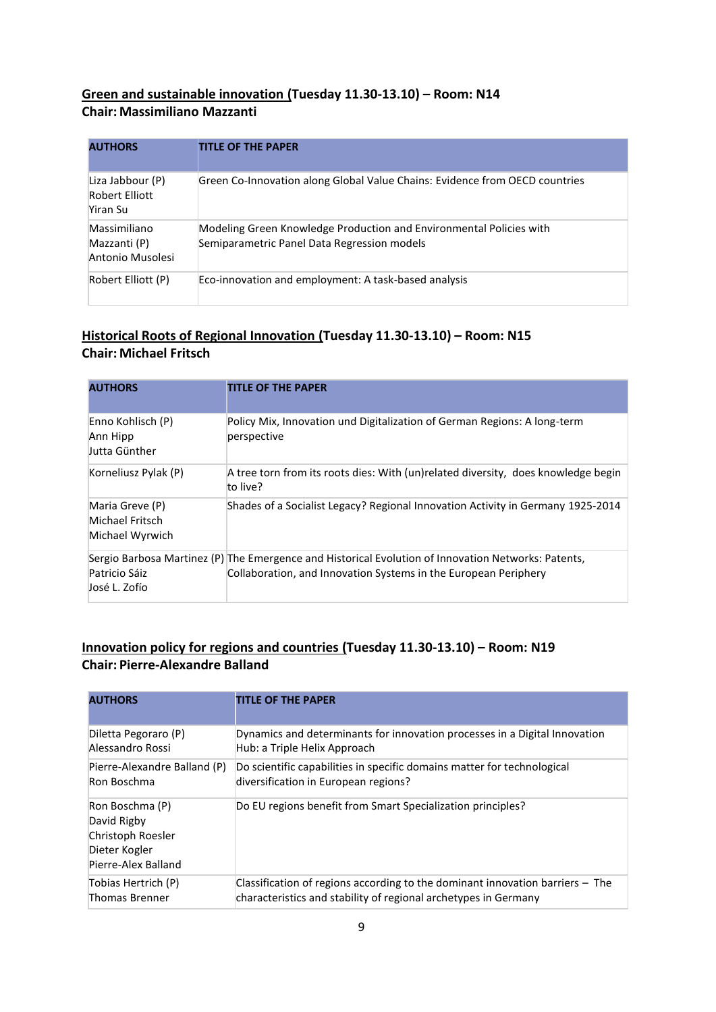### **Green and sustainable innovation (Tuesday 11.30-13.10) – Room: N14 Chair: Massimiliano Mazzanti**

| <b>AUTHORS</b>                                        | <b>TITLE OF THE PAPER</b>                                                                                          |
|-------------------------------------------------------|--------------------------------------------------------------------------------------------------------------------|
| Liza Jabbour (P)<br><b>Robert Elliott</b><br>Yiran Su | Green Co-Innovation along Global Value Chains: Evidence from OECD countries                                        |
| Massimiliano<br>Mazzanti (P)<br>Antonio Musolesi      | Modeling Green Knowledge Production and Environmental Policies with<br>Semiparametric Panel Data Regression models |
| Robert Elliott (P)                                    | Eco-innovation and employment: A task-based analysis                                                               |

### **Historical Roots of Regional Innovation (Tuesday 11.30-13.10) – Room: N15 Chair: Michael Fritsch**

| <b>AUTHORS</b>                                        | <b>TITLE OF THE PAPER</b>                                                                                                                                              |
|-------------------------------------------------------|------------------------------------------------------------------------------------------------------------------------------------------------------------------------|
| Enno Kohlisch (P)<br>Ann Hipp<br>Jutta Günther        | Policy Mix, Innovation und Digitalization of German Regions: A long-term<br>perspective                                                                                |
| Korneliusz Pylak (P)                                  | A tree torn from its roots dies: With (un)related diversity, does knowledge begin<br>to live?                                                                          |
| Maria Greve (P)<br>Michael Fritsch<br>Michael Wyrwich | Shades of a Socialist Legacy? Regional Innovation Activity in Germany 1925-2014                                                                                        |
| Patricio Sáiz<br>José L. Zofío                        | Sergio Barbosa Martinez (P) The Emergence and Historical Evolution of Innovation Networks: Patents,<br>Collaboration, and Innovation Systems in the European Periphery |

### **Innovation policy for regions and countries (Tuesday 11.30-13.10) – Room: N19 Chair: Pierre-Alexandre Balland**

| <b>AUTHORS</b>                                                                              | <b>TITLE OF THE PAPER</b>                                                     |
|---------------------------------------------------------------------------------------------|-------------------------------------------------------------------------------|
| Diletta Pegoraro (P)                                                                        | Dynamics and determinants for innovation processes in a Digital Innovation    |
| Alessandro Rossi                                                                            | Hub: a Triple Helix Approach                                                  |
| Pierre-Alexandre Balland (P)                                                                | Do scientific capabilities in specific domains matter for technological       |
| Ron Boschma                                                                                 | diversification in European regions?                                          |
| Ron Boschma (P)<br>David Rigby<br>Christoph Roesler<br>Dieter Kogler<br>Pierre-Alex Balland | Do EU regions benefit from Smart Specialization principles?                   |
| Tobias Hertrich (P)                                                                         | Classification of regions according to the dominant innovation barriers – The |
| <b>Thomas Brenner</b>                                                                       | characteristics and stability of regional archetypes in Germany               |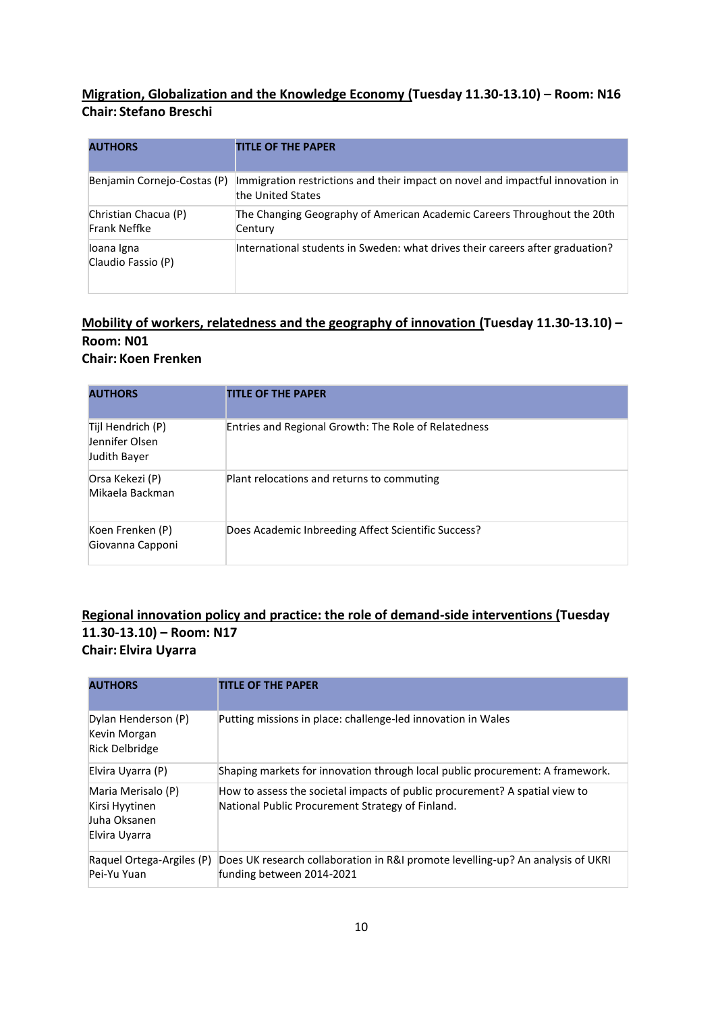### **Migration, Globalization and the Knowledge Economy (Tuesday 11.30-13.10) – Room: N16 Chair: Stefano Breschi**

| <b>AUTHORS</b>                       | <b>TITLE OF THE PAPER</b>                                                                           |
|--------------------------------------|-----------------------------------------------------------------------------------------------------|
| Benjamin Cornejo-Costas (P)          | Immigration restrictions and their impact on novel and impactful innovation in<br>the United States |
| Christian Chacua (P)<br>Frank Neffke | The Changing Geography of American Academic Careers Throughout the 20th<br>Century                  |
| loana Igna<br>Claudio Fassio (P)     | International students in Sweden: what drives their careers after graduation?                       |

### **Mobility of workers, relatedness and the geography of innovation (Tuesday 11.30-13.10) – Room: N01 Chair: Koen Frenken**

| <b>AUTHORS</b>                                      | <b>TITLE OF THE PAPER</b>                            |
|-----------------------------------------------------|------------------------------------------------------|
| Tijl Hendrich (P)<br>Jennifer Olsen<br>Judith Bayer | Entries and Regional Growth: The Role of Relatedness |
| Orsa Kekezi (P)<br>Mikaela Backman                  | Plant relocations and returns to commuting           |
| Koen Frenken (P)<br>Giovanna Capponi                | Does Academic Inbreeding Affect Scientific Success?  |

### **Regional innovation policy and practice: the role of demand-side interventions (Tuesday 11.30-13.10) – Room: N17 Chair: Elvira Uyarra**

| <b>AUTHORS</b>                                                        | <b>TITLE OF THE PAPER</b>                                                                                                       |
|-----------------------------------------------------------------------|---------------------------------------------------------------------------------------------------------------------------------|
| Dylan Henderson (P)<br>Kevin Morgan<br>Rick Delbridge                 | Putting missions in place: challenge-led innovation in Wales                                                                    |
| Elvira Uyarra (P)                                                     | Shaping markets for innovation through local public procurement: A framework.                                                   |
| Maria Merisalo (P)<br>Kirsi Hyytinen<br>Juha Oksanen<br>Elvira Uyarra | How to assess the societal impacts of public procurement? A spatial view to<br>National Public Procurement Strategy of Finland. |
| Raquel Ortega-Argiles (P)<br>Pei-Yu Yuan                              | Does UK research collaboration in R&I promote levelling-up? An analysis of UKRI<br>funding between 2014-2021                    |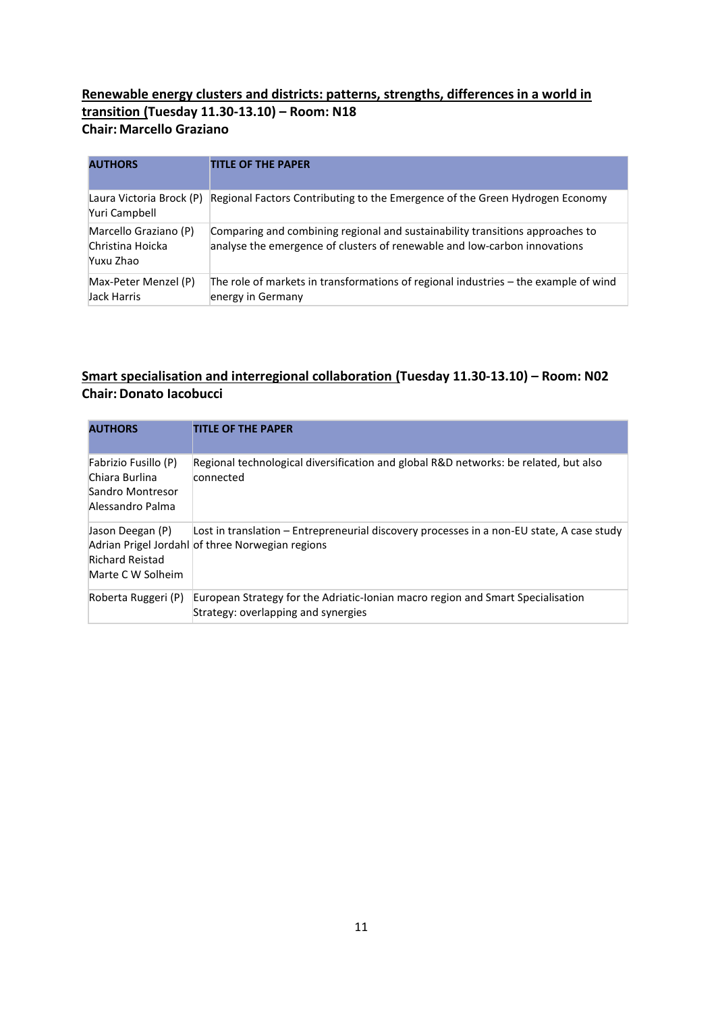### **Renewable energy clusters and districts: patterns, strengths, differences in a world in transition (Tuesday 11.30-13.10) – Room: N18 Chair: Marcello Graziano**

| <b>AUTHORS</b>                                         | <b>TITLE OF THE PAPER</b>                                                                                                                                  |
|--------------------------------------------------------|------------------------------------------------------------------------------------------------------------------------------------------------------------|
| Laura Victoria Brock (P)<br>Yuri Campbell              | Regional Factors Contributing to the Emergence of the Green Hydrogen Economy                                                                               |
| Marcello Graziano (P)<br>Christina Hoicka<br>Yuxu Zhao | Comparing and combining regional and sustainability transitions approaches to<br>analyse the emergence of clusters of renewable and low-carbon innovations |
| Max-Peter Menzel (P)<br>Jack Harris                    | The role of markets in transformations of regional industries – the example of wind<br>energy in Germany                                                   |

### **Smart specialisation and interregional collaboration (Tuesday 11.30-13.10) – Room: N02 Chair:Donato Iacobucci**

| <b>AUTHORS</b>                                                                 | <b>TITLE OF THE PAPER</b>                                                                                                                     |
|--------------------------------------------------------------------------------|-----------------------------------------------------------------------------------------------------------------------------------------------|
| Fabrizio Fusillo (P)<br>Chiara Burlina<br>Sandro Montresor<br>Alessandro Palma | Regional technological diversification and global R&D networks: be related, but also<br>connected                                             |
| Jason Deegan (P)<br><b>Richard Reistad</b><br>Marte C W Solheim                | Lost in translation – Entrepreneurial discovery processes in a non-EU state, A case study<br>Adrian Prigel Jordahl of three Norwegian regions |
| Roberta Ruggeri (P)                                                            | European Strategy for the Adriatic-Ionian macro region and Smart Specialisation<br>Strategy: overlapping and synergies                        |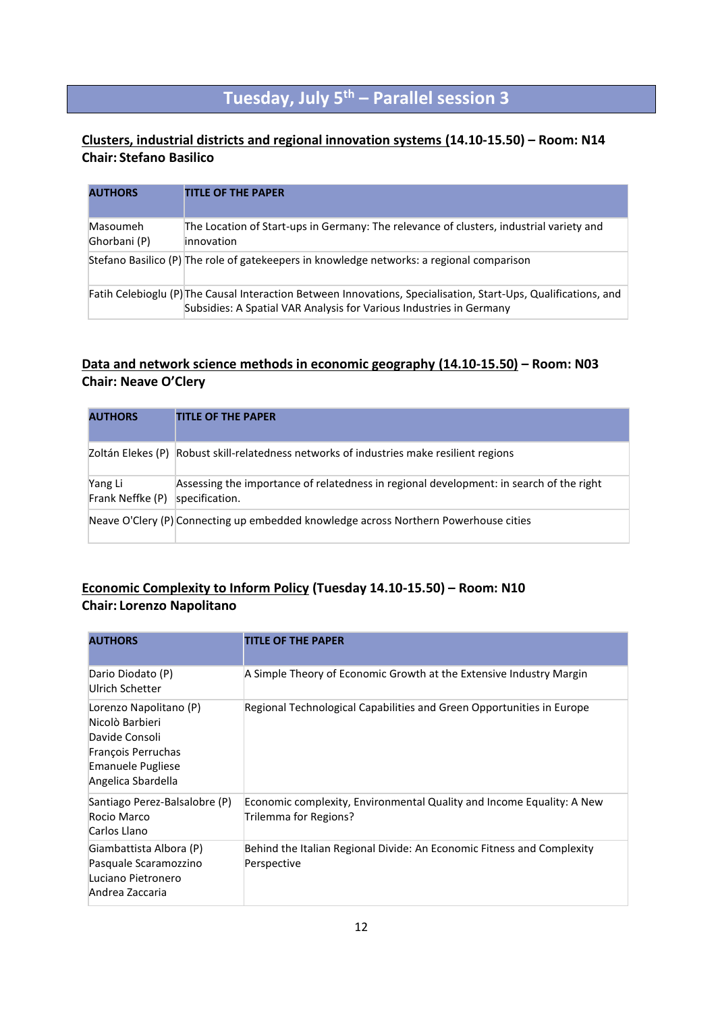## **Tuesday, July 5th – Parallel session 3**

### **Clusters, industrial districts and regional innovation systems (14.10-15.50) – Room: N14 Chair: Stefano Basilico**

| <b>AUTHORS</b>           | <b>TITLE OF THE PAPER</b>                                                                                                                                                              |
|--------------------------|----------------------------------------------------------------------------------------------------------------------------------------------------------------------------------------|
| Masoumeh<br>Ghorbani (P) | The Location of Start-ups in Germany: The relevance of clusters, industrial variety and<br>innovation                                                                                  |
|                          | Stefano Basilico (P) The role of gatekeepers in knowledge networks: a regional comparison                                                                                              |
|                          | Fatih Celebioglu (P) The Causal Interaction Between Innovations, Specialisation, Start-Ups, Qualifications, and<br>Subsidies: A Spatial VAR Analysis for Various Industries in Germany |

### **Data and network science methods in economic geography (14.10-15.50) – Room: N03 Chair: Neave O'Clery**

| <b>AUTHORS</b>              | <b>TITLE OF THE PAPER</b>                                                                                 |
|-----------------------------|-----------------------------------------------------------------------------------------------------------|
|                             | Zoltán Elekes (P) Robust skill-relatedness networks of industries make resilient regions                  |
| Yang Li<br>Frank Neffke (P) | Assessing the importance of relatedness in regional development: in search of the right<br>specification. |
|                             | Neave O'Clery (P) Connecting up embedded knowledge across Northern Powerhouse cities                      |

### **Economic Complexity to Inform Policy (Tuesday 14.10-15.50) – Room: N10 Chair: Lorenzo Napolitano**

| <b>AUTHORS</b>                                                                                                                      | <b>TITLE OF THE PAPER</b>                                                                      |
|-------------------------------------------------------------------------------------------------------------------------------------|------------------------------------------------------------------------------------------------|
| Dario Diodato (P)<br>Ulrich Schetter                                                                                                | A Simple Theory of Economic Growth at the Extensive Industry Margin                            |
| Lorenzo Napolitano (P)<br>Nicolò Barbieri<br>Davide Consoli<br>François Perruchas<br><b>Emanuele Pugliese</b><br>Angelica Sbardella | Regional Technological Capabilities and Green Opportunities in Europe                          |
| Santiago Perez-Balsalobre (P)<br>Rocio Marco<br>Carlos Llano                                                                        | Economic complexity, Environmental Quality and Income Equality: A New<br>Trilemma for Regions? |
| Giambattista Albora (P)<br>Pasquale Scaramozzino<br>Luciano Pietronero<br>Andrea Zaccaria                                           | Behind the Italian Regional Divide: An Economic Fitness and Complexity<br>Perspective          |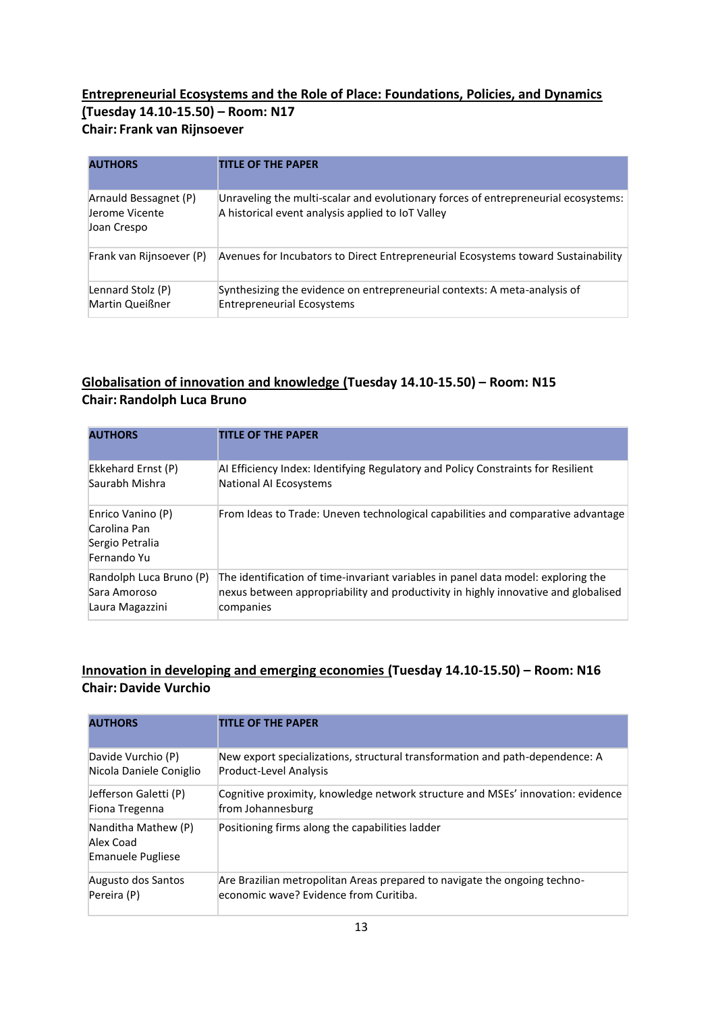### **Entrepreneurial Ecosystems and the Role of Place: Foundations, Policies, and Dynamics (Tuesday 14.10-15.50) – Room: N17 Chair: Frank van Rijnsoever**

| <b>AUTHORS</b>                                         | <b>TITLE OF THE PAPER</b>                                                                                                               |
|--------------------------------------------------------|-----------------------------------------------------------------------------------------------------------------------------------------|
| Arnauld Bessagnet (P)<br>Jerome Vicente<br>Joan Crespo | Unraveling the multi-scalar and evolutionary forces of entrepreneurial ecosystems:<br>A historical event analysis applied to IoT Valley |
| Frank van Rijnsoever (P)                               | Avenues for Incubators to Direct Entrepreneurial Ecosystems toward Sustainability                                                       |
| Lennard Stolz (P)<br>Martin Queißner                   | Synthesizing the evidence on entrepreneurial contexts: A meta-analysis of<br><b>Entrepreneurial Ecosystems</b>                          |

### **Globalisation of innovation and knowledge (Tuesday 14.10-15.50) – Room: N15 Chair: Randolph Luca Bruno**

| <b>AUTHORS</b>                                                      | <b>TITLE OF THE PAPER</b>                                                          |
|---------------------------------------------------------------------|------------------------------------------------------------------------------------|
| Ekkehard Ernst (P)                                                  | Al Efficiency Index: Identifying Regulatory and Policy Constraints for Resilient   |
| Saurabh Mishra                                                      | National AI Ecosystems                                                             |
| Enrico Vanino (P)<br>Carolina Pan<br>Sergio Petralia<br>Fernando Yu | From Ideas to Trade: Uneven technological capabilities and comparative advantage   |
| Randolph Luca Bruno (P)                                             | The identification of time-invariant variables in panel data model: exploring the  |
| Sara Amoroso                                                        | nexus between appropriability and productivity in highly innovative and globalised |
| Laura Magazzini                                                     | companies                                                                          |

### **Innovation in developing and emerging economies (Tuesday 14.10-15.50) – Room: N16 Chair:Davide Vurchio**

| <b>AUTHORS</b>                                               | <b>TITLE OF THE PAPER</b>                                                       |
|--------------------------------------------------------------|---------------------------------------------------------------------------------|
| Davide Vurchio (P)                                           | New export specializations, structural transformation and path-dependence: A    |
| Nicola Daniele Coniglio                                      | Product-Level Analysis                                                          |
| Jefferson Galetti (P)                                        | Cognitive proximity, knowledge network structure and MSEs' innovation: evidence |
| Fiona Tregenna                                               | from Johannesburg                                                               |
| Nanditha Mathew (P)<br>Alex Coad<br><b>Emanuele Pugliese</b> | Positioning firms along the capabilities ladder                                 |
| Augusto dos Santos                                           | Are Brazilian metropolitan Areas prepared to navigate the ongoing techno-       |
| Pereira (P)                                                  | economic wave? Evidence from Curitiba.                                          |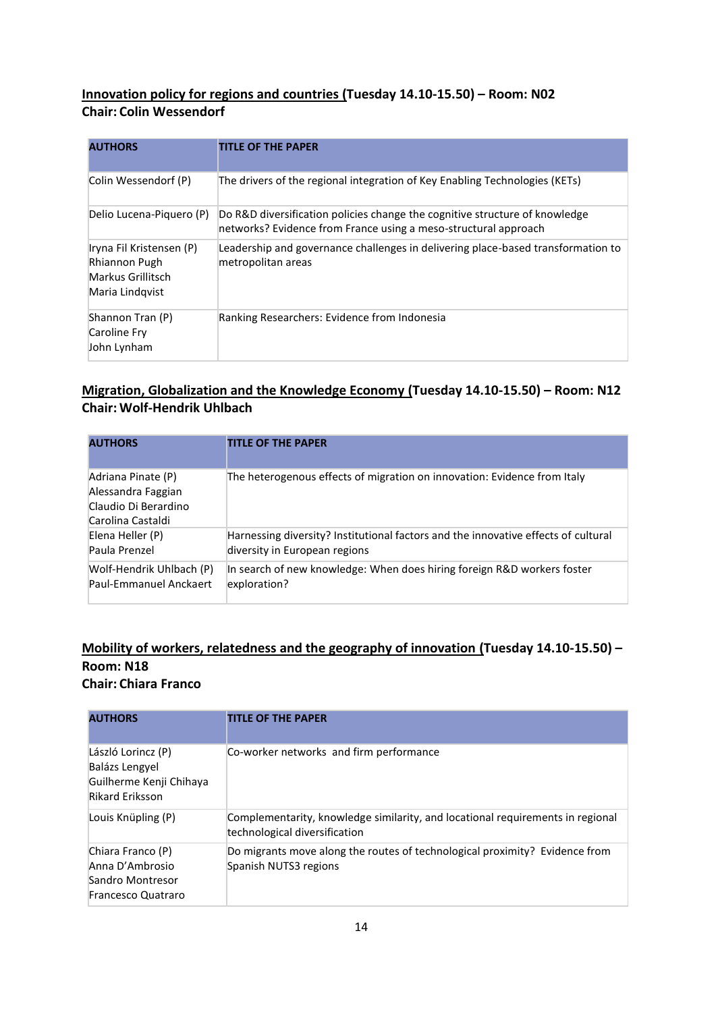### **Innovation policy for regions and countries (Tuesday 14.10-15.50) – Room: N02 Chair: Colin Wessendorf**

| <b>AUTHORS</b>                                                                    | <b>TITLE OF THE PAPER</b>                                                                                                                      |
|-----------------------------------------------------------------------------------|------------------------------------------------------------------------------------------------------------------------------------------------|
| Colin Wessendorf (P)                                                              | The drivers of the regional integration of Key Enabling Technologies (KETs)                                                                    |
| Delio Lucena-Piguero (P)                                                          | Do R&D diversification policies change the cognitive structure of knowledge<br>networks? Evidence from France using a meso-structural approach |
| Iryna Fil Kristensen (P)<br>Rhiannon Pugh<br>Markus Grillitsch<br>Maria Lindqvist | Leadership and governance challenges in delivering place-based transformation to<br>metropolitan areas                                         |
| Shannon Tran (P)<br>Caroline Fry<br>John Lynham                                   | Ranking Researchers: Evidence from Indonesia                                                                                                   |

### **Migration, Globalization and the Knowledge Economy (Tuesday 14.10-15.50) – Room: N12 Chair: Wolf-Hendrik Uhlbach**

| <b>AUTHORS</b>                                                                        | <b>TITLE OF THE PAPER</b>                                                          |
|---------------------------------------------------------------------------------------|------------------------------------------------------------------------------------|
| Adriana Pinate (P)<br>Alessandra Faggian<br>Claudio Di Berardino<br>Carolina Castaldi | The heterogenous effects of migration on innovation: Evidence from Italy           |
| Elena Heller (P)                                                                      | Harnessing diversity? Institutional factors and the innovative effects of cultural |
| Paula Prenzel                                                                         | diversity in European regions                                                      |
| Wolf-Hendrik Uhlbach (P)                                                              | In search of new knowledge: When does hiring foreign R&D workers foster            |
| Paul-Emmanuel Anckaert                                                                | exploration?                                                                       |

### **Mobility of workers, relatedness and the geography of innovation (Tuesday 14.10-15.50) – Room: N18 Chair: Chiara Franco**

| <b>AUTHORS</b>                                                                            | <b>TITLE OF THE PAPER</b>                                                                                       |
|-------------------------------------------------------------------------------------------|-----------------------------------------------------------------------------------------------------------------|
| László Lorincz (P)<br>Balázs Lengyel<br>Guilherme Kenji Chihaya<br><b>Rikard Eriksson</b> | Co-worker networks and firm performance                                                                         |
| Louis Knüpling (P)                                                                        | Complementarity, knowledge similarity, and locational requirements in regional<br>technological diversification |
| Chiara Franco (P)<br>Anna D'Ambrosio<br>Sandro Montresor<br>Francesco Quatraro            | Do migrants move along the routes of technological proximity? Evidence from<br>Spanish NUTS3 regions            |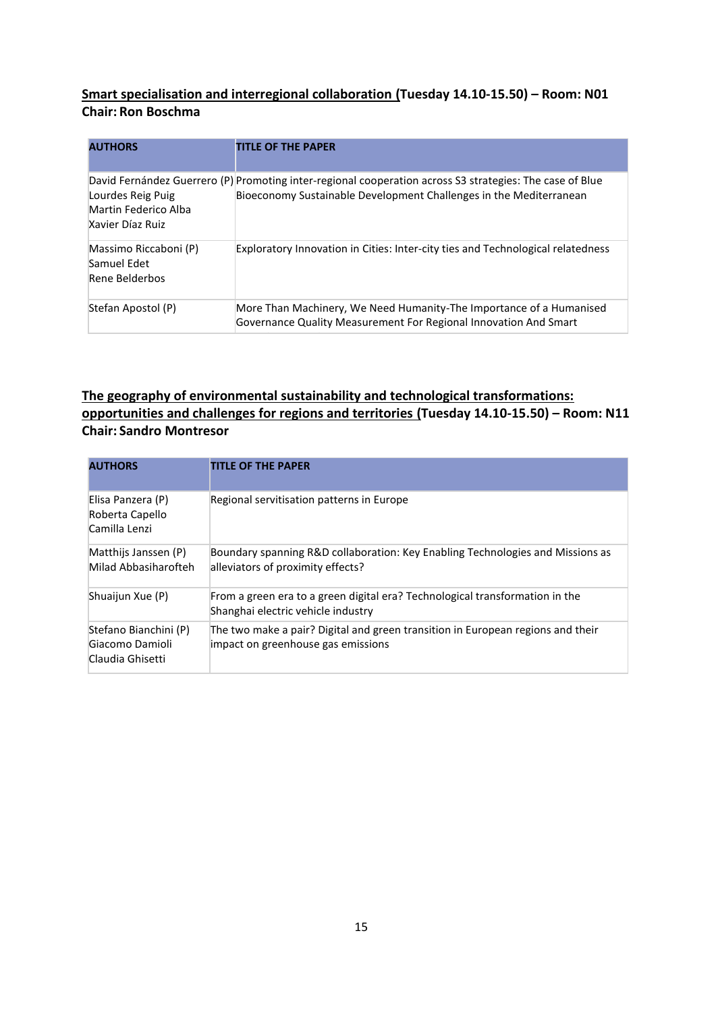### **Smart specialisation and interregional collaboration (Tuesday 14.10-15.50) – Room: N01 Chair: Ron Boschma**

| <b>AUTHORS</b>                                                | <b>TITLE OF THE PAPER</b>                                                                                                                                                      |
|---------------------------------------------------------------|--------------------------------------------------------------------------------------------------------------------------------------------------------------------------------|
| Lourdes Reig Puig<br>Martin Federico Alba<br>Xavier Díaz Ruiz | David Fernández Guerrero (P) Promoting inter-regional cooperation across S3 strategies: The case of Blue<br>Bioeconomy Sustainable Development Challenges in the Mediterranean |
| Massimo Riccaboni (P)<br>Samuel Edet<br>Rene Belderbos        | Exploratory Innovation in Cities: Inter-city ties and Technological relatedness                                                                                                |
| Stefan Apostol (P)                                            | More Than Machinery, We Need Humanity-The Importance of a Humanised<br>Governance Quality Measurement For Regional Innovation And Smart                                        |

### **The geography of environmental sustainability and technological transformations: opportunities and challenges for regions and territories (Tuesday 14.10-15.50) – Room: N11 Chair: Sandro Montresor**

| <b>AUTHORS</b>                                               | <b>TITLE OF THE PAPER</b>                                                                                             |
|--------------------------------------------------------------|-----------------------------------------------------------------------------------------------------------------------|
| Elisa Panzera (P)<br>Roberta Capello<br>Camilla Lenzi        | Regional servitisation patterns in Europe                                                                             |
| Matthijs Janssen (P)<br>Milad Abbasiharofteh                 | Boundary spanning R&D collaboration: Key Enabling Technologies and Missions as<br>alleviators of proximity effects?   |
| Shuaijun Xue (P)                                             | From a green era to a green digital era? Technological transformation in the<br>Shanghai electric vehicle industry    |
| Stefano Bianchini (P)<br>Giacomo Damioli<br>Claudia Ghisetti | The two make a pair? Digital and green transition in European regions and their<br>impact on greenhouse gas emissions |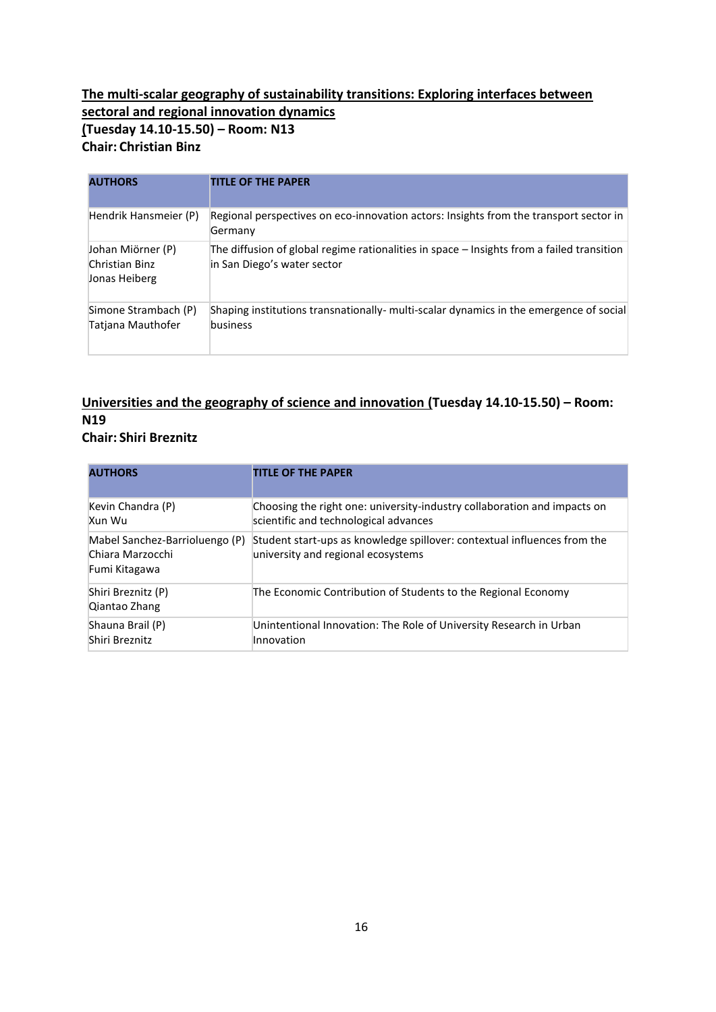### **The multi-scalar geography of sustainability transitions: Exploring interfaces between sectoral and regional innovation dynamics (Tuesday 14.10-15.50) – Room: N13 Chair: Christian Binz**

| <b>AUTHORS</b>                                       | <b>TITLE OF THE PAPER</b>                                                                                                |
|------------------------------------------------------|--------------------------------------------------------------------------------------------------------------------------|
| Hendrik Hansmeier (P)                                | Regional perspectives on eco-innovation actors: Insights from the transport sector in<br>Germany                         |
| Johan Miörner (P)<br>Christian Binz<br>Jonas Heiberg | The diffusion of global regime rationalities in space - Insights from a failed transition<br>in San Diego's water sector |
| Simone Strambach (P)<br>Tatjana Mauthofer            | Shaping institutions transnationally- multi-scalar dynamics in the emergence of social<br>business                       |

### **Universities and the geography of science and innovation (Tuesday 14.10-15.50) – Room: N19 Chair: Shiri Breznitz**

| <b>AUTHORS</b>                                                      | <b>TITLE OF THE PAPER</b>                                                                                         |
|---------------------------------------------------------------------|-------------------------------------------------------------------------------------------------------------------|
| Kevin Chandra (P)<br>Xun Wu                                         | Choosing the right one: university-industry collaboration and impacts on<br>scientific and technological advances |
| Mabel Sanchez-Barrioluengo (P)<br>Chiara Marzocchi<br>Fumi Kitagawa | Student start-ups as knowledge spillover: contextual influences from the<br>university and regional ecosystems    |
| Shiri Breznitz (P)<br>Qiantao Zhang                                 | The Economic Contribution of Students to the Regional Economy                                                     |
| Shauna Brail (P)<br>Shiri Breznitz                                  | Unintentional Innovation: The Role of University Research in Urban<br>Innovation                                  |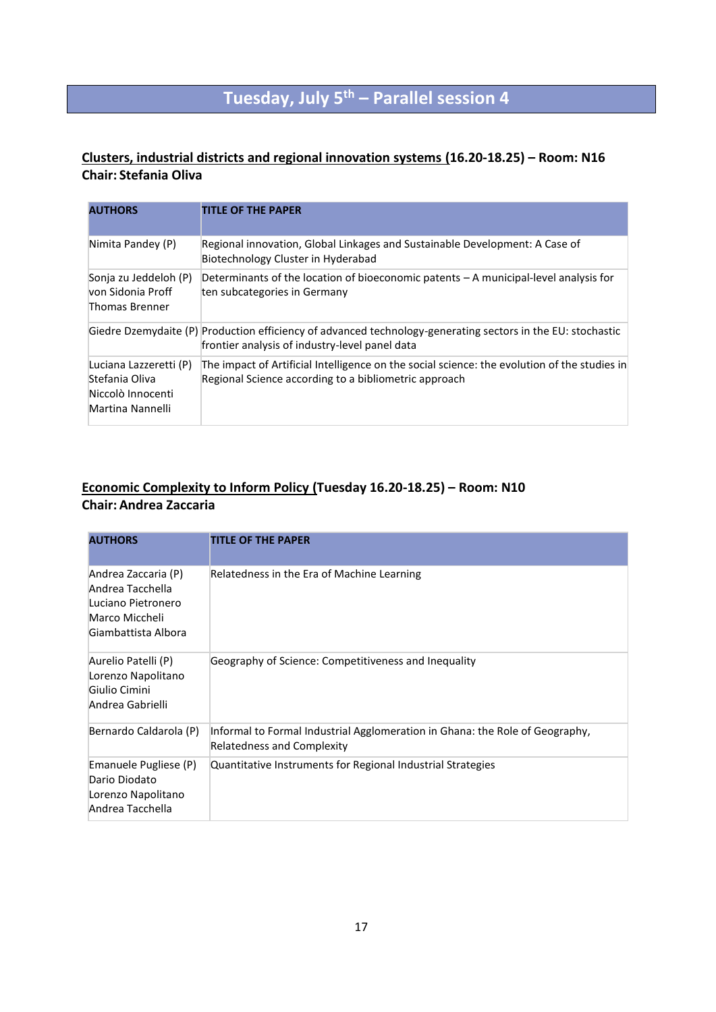## **Tuesday, July 5th – Parallel session 4**

### **Clusters, industrial districts and regional innovation systems (16.20-18.25) – Room: N16 Chair: Stefania Oliva**

| <b>AUTHORS</b>                                                                    | <b>TITLE OF THE PAPER</b>                                                                                                                                     |
|-----------------------------------------------------------------------------------|---------------------------------------------------------------------------------------------------------------------------------------------------------------|
| Nimita Pandey (P)                                                                 | Regional innovation, Global Linkages and Sustainable Development: A Case of<br>Biotechnology Cluster in Hyderabad                                             |
| Sonja zu Jeddeloh (P)<br>lvon Sidonia Proff<br>Thomas Brenner                     | Determinants of the location of bioeconomic patents $-A$ municipal-level analysis for<br>ten subcategories in Germany                                         |
|                                                                                   | Giedre Dzemydaite (P) Production efficiency of advanced technology-generating sectors in the EU: stochastic<br>frontier analysis of industry-level panel data |
| Luciana Lazzeretti (P)<br>Stefania Oliva<br>Niccolò Innocenti<br>Martina Nannelli | The impact of Artificial Intelligence on the social science: the evolution of the studies in<br>Regional Science according to a bibliometric approach         |

### **Economic Complexity to Inform Policy (Tuesday 16.20-18.25) – Room: N10 Chair: Andrea Zaccaria**

| <b>AUTHORS</b>                                                                                         | <b>TITLE OF THE PAPER</b>                                                                                         |
|--------------------------------------------------------------------------------------------------------|-------------------------------------------------------------------------------------------------------------------|
| Andrea Zaccaria (P)<br>Andrea Tacchella<br>Luciano Pietronero<br>Marco Miccheli<br>Giambattista Albora | Relatedness in the Era of Machine Learning                                                                        |
| Aurelio Patelli (P)<br>Lorenzo Napolitano<br>Giulio Cimini<br>Andrea Gabrielli                         | Geography of Science: Competitiveness and Inequality                                                              |
| Bernardo Caldarola (P)                                                                                 | Informal to Formal Industrial Agglomeration in Ghana: the Role of Geography,<br><b>Relatedness and Complexity</b> |
| Emanuele Pugliese (P)<br>Dario Diodato<br>Lorenzo Napolitano<br>Andrea Tacchella                       | Quantitative Instruments for Regional Industrial Strategies                                                       |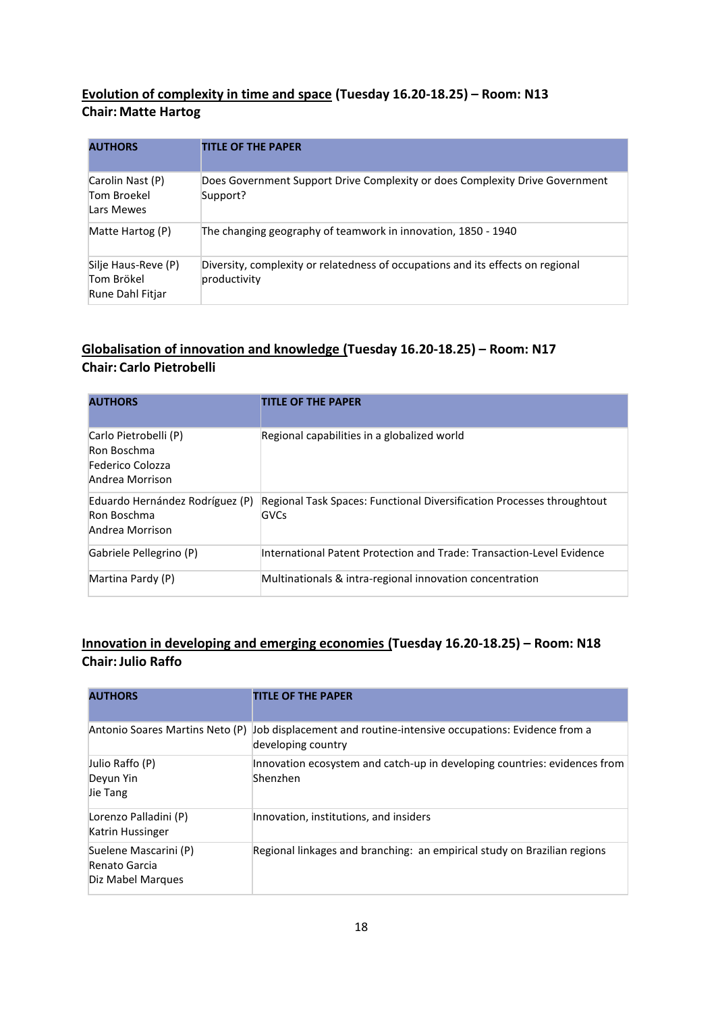### **Evolution of complexity in time and space (Tuesday 16.20-18.25) – Room: N13 Chair: Matte Hartog**

| <b>AUTHORS</b>                                        | <b>TITLE OF THE PAPER</b>                                                                       |
|-------------------------------------------------------|-------------------------------------------------------------------------------------------------|
| Carolin Nast (P)<br>Tom Broekel<br>Lars Mewes         | Does Government Support Drive Complexity or does Complexity Drive Government<br>Support?        |
| Matte Hartog (P)                                      | The changing geography of teamwork in innovation, 1850 - 1940                                   |
| Silje Haus-Reve (P)<br>Tom Brökel<br>Rune Dahl Fitjar | Diversity, complexity or relatedness of occupations and its effects on regional<br>productivity |

### **Globalisation of innovation and knowledge (Tuesday 16.20-18.25) – Room: N17 Chair: Carlo Pietrobelli**

| <b>AUTHORS</b>                                                              | <b>TITLE OF THE PAPER</b>                                                      |
|-----------------------------------------------------------------------------|--------------------------------------------------------------------------------|
| Carlo Pietrobelli (P)<br>Ron Boschma<br>Federico Colozza<br>Andrea Morrison | Regional capabilities in a globalized world                                    |
| Eduardo Hernández Rodríguez (P)<br>Ron Boschma<br>Andrea Morrison           | Regional Task Spaces: Functional Diversification Processes throughtout<br>GVCs |
| Gabriele Pellegrino (P)                                                     | International Patent Protection and Trade: Transaction-Level Evidence          |
| Martina Pardy (P)                                                           | Multinationals & intra-regional innovation concentration                       |

### **Innovation in developing and emerging economies (Tuesday 16.20-18.25) – Room: N18 Chair:Julio Raffo**

| <b>AUTHORS</b>                                              | <b>TITLE OF THE PAPER</b>                                                                 |
|-------------------------------------------------------------|-------------------------------------------------------------------------------------------|
| Antonio Soares Martins Neto (P)                             | Job displacement and routine-intensive occupations: Evidence from a<br>developing country |
| Julio Raffo (P)<br>Deyun Yin<br>Jie Tang                    | Innovation ecosystem and catch-up in developing countries: evidences from<br>Shenzhen     |
| Lorenzo Palladini (P)<br>Katrin Hussinger                   | Innovation, institutions, and insiders                                                    |
| Suelene Mascarini (P)<br>Renato Garcia<br>Diz Mabel Marques | Regional linkages and branching: an empirical study on Brazilian regions                  |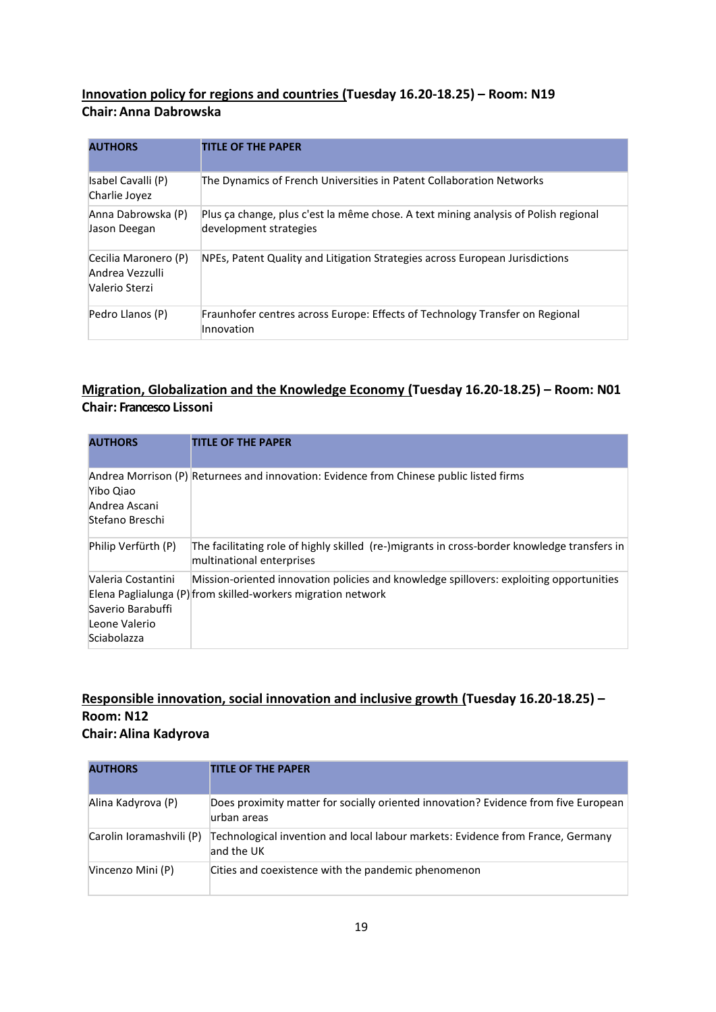### **Innovation policy for regions and countries (Tuesday 16.20-18.25) – Room: N19 Chair: Anna Dabrowska**

| <b>AUTHORS</b>                                            | <b>TITLE OF THE PAPER</b>                                                                                     |
|-----------------------------------------------------------|---------------------------------------------------------------------------------------------------------------|
| Isabel Cavalli (P)<br>Charlie Joyez                       | The Dynamics of French Universities in Patent Collaboration Networks                                          |
| Anna Dabrowska (P)<br>Jason Deegan                        | Plus ça change, plus c'est la même chose. A text mining analysis of Polish regional<br>development strategies |
| Cecilia Maronero (P)<br>Andrea Vezzulli<br>Valerio Sterzi | NPEs, Patent Quality and Litigation Strategies across European Jurisdictions                                  |
| Pedro Llanos (P)                                          | Fraunhofer centres across Europe: Effects of Technology Transfer on Regional<br>Innovation                    |

### **Migration, Globalization and the Knowledge Economy (Tuesday 16.20-18.25) – Room: N01 Chair: Francesco Lissoni**

| <b>AUTHORS</b>                                                          | <b>TITLE OF THE PAPER</b>                                                                                                                               |
|-------------------------------------------------------------------------|---------------------------------------------------------------------------------------------------------------------------------------------------------|
| Yibo Qiao<br>Andrea Ascani<br>Stefano Breschi                           | Andrea Morrison (P) Returnees and innovation: Evidence from Chinese public listed firms                                                                 |
| Philip Verfürth (P)                                                     | The facilitating role of highly skilled (re-)migrants in cross-border knowledge transfers in<br>multinational enterprises                               |
| Valeria Costantini<br>Saverio Barabuffi<br>Leone Valerio<br>Sciabolazza | Mission-oriented innovation policies and knowledge spillovers: exploiting opportunities<br>Elena Paglialunga (P) from skilled-workers migration network |

### **Responsible innovation, social innovation and inclusive growth (Tuesday 16.20-18.25) – Room: N12 Chair: Alina Kadyrova**

| <b>AUTHORS</b>           | <b>TITLE OF THE PAPER</b>                                                                          |
|--------------------------|----------------------------------------------------------------------------------------------------|
| Alina Kadyrova (P)       | Does proximity matter for socially oriented innovation? Evidence from five European<br>urban areas |
| Carolin Ioramashvili (P) | Technological invention and local labour markets: Evidence from France, Germany<br>and the UK      |
| Vincenzo Mini (P)        | Cities and coexistence with the pandemic phenomenon                                                |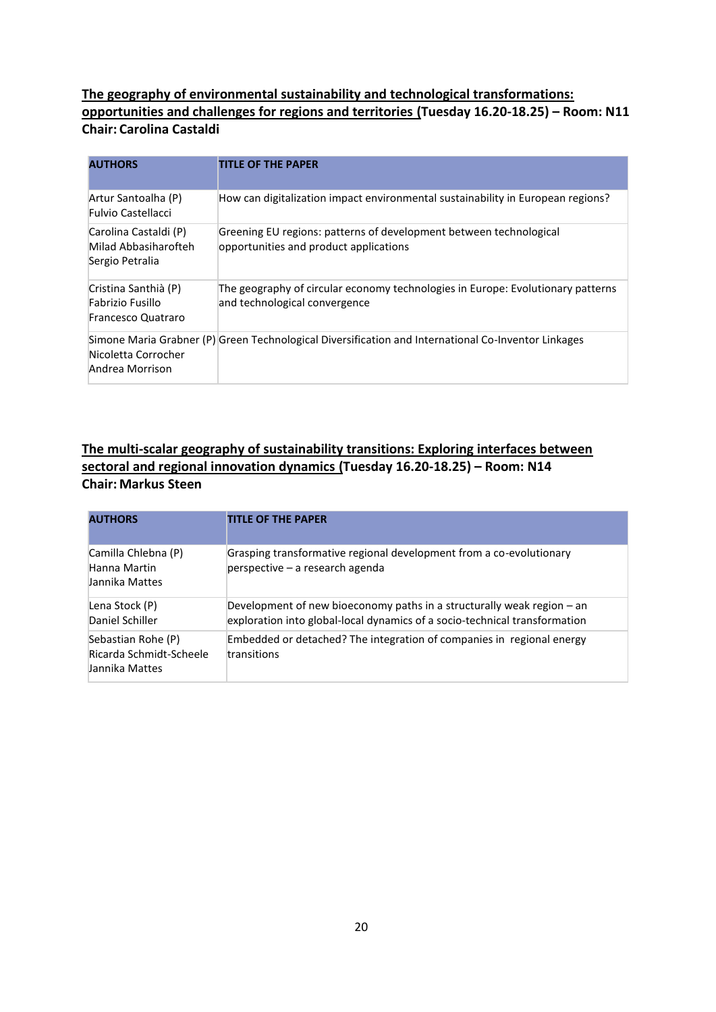### **The geography of environmental sustainability and technological transformations: opportunities and challenges for regions and territories (Tuesday 16.20-18.25) – Room: N11 Chair: Carolina Castaldi**

| <b>AUTHORS</b>                                                        | <b>TITLE OF THE PAPER</b>                                                                                        |
|-----------------------------------------------------------------------|------------------------------------------------------------------------------------------------------------------|
| Artur Santoalha (P)<br><b>Fulvio Castellacci</b>                      | How can digitalization impact environmental sustainability in European regions?                                  |
| Carolina Castaldi (P)<br>Milad Abbasiharofteh<br>Sergio Petralia      | Greening EU regions: patterns of development between technological<br>opportunities and product applications     |
| Cristina Santhià (P)<br>Fabrizio Fusillo<br><b>Francesco Quatraro</b> | The geography of circular economy technologies in Europe: Evolutionary patterns<br>and technological convergence |
| Nicoletta Corrocher<br>Andrea Morrison                                | Simone Maria Grabner (P) Green Technological Diversification and International Co-Inventor Linkages              |

### **The multi-scalar geography of sustainability transitions: Exploring interfaces between sectoral and regional innovation dynamics (Tuesday 16.20-18.25) – Room: N14 Chair: Markus Steen**

| <b>AUTHORS</b>                                                  | <b>TITLE OF THE PAPER</b>                                                                                                                            |
|-----------------------------------------------------------------|------------------------------------------------------------------------------------------------------------------------------------------------------|
| Camilla Chlebna (P)<br>Hanna Martin<br>Jannika Mattes           | Grasping transformative regional development from a co-evolutionary<br>perspective – a research agenda                                               |
| Lena Stock (P)<br>Daniel Schiller                               | Development of new bioeconomy paths in a structurally weak region – an<br>exploration into global-local dynamics of a socio-technical transformation |
| Sebastian Rohe (P)<br>Ricarda Schmidt-Scheele<br>Jannika Mattes | Embedded or detached? The integration of companies in regional energy<br>transitions                                                                 |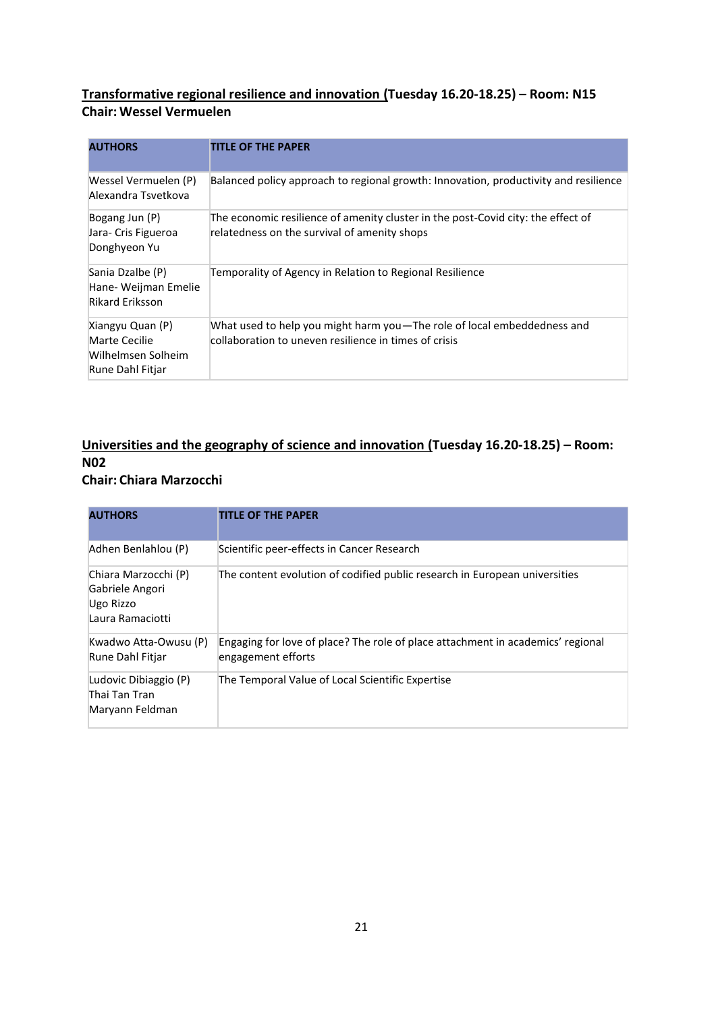### **Transformative regional resilience and innovation (Tuesday 16.20-18.25) – Room: N15 Chair: Wessel Vermuelen**

| <b>AUTHORS</b>                                                              | TITLE OF THE PAPER                                                                                                               |
|-----------------------------------------------------------------------------|----------------------------------------------------------------------------------------------------------------------------------|
| Wessel Vermuelen (P)<br>Alexandra Tsvetkova                                 | Balanced policy approach to regional growth: Innovation, productivity and resilience                                             |
| Bogang Jun (P)<br>Jara- Cris Figueroa<br>Donghyeon Yu                       | The economic resilience of amenity cluster in the post-Covid city: the effect of<br>relatedness on the survival of amenity shops |
| Sania Dzalbe (P)<br>Hane- Weijman Emelie<br><b>Rikard Eriksson</b>          | Temporality of Agency in Relation to Regional Resilience                                                                         |
| Xiangyu Quan (P)<br>Marte Cecilie<br>Wilhelmsen Solheim<br>Rune Dahl Fitjar | What used to help you might harm you—The role of local embeddedness and<br>collaboration to uneven resilience in times of crisis |

## **Universities and the geography of science and innovation (Tuesday 16.20-18.25) – Room: N02**

#### **Chair: Chiara Marzocchi**

| <b>AUTHORS</b>                                                           | <b>TITLE OF THE PAPER</b>                                                                             |
|--------------------------------------------------------------------------|-------------------------------------------------------------------------------------------------------|
| Adhen Benlahlou (P)                                                      | Scientific peer-effects in Cancer Research                                                            |
| Chiara Marzocchi (P)<br>Gabriele Angori<br>Ugo Rizzo<br>Laura Ramaciotti | The content evolution of codified public research in European universities                            |
| Kwadwo Atta-Owusu (P)<br>Rune Dahl Fitjar                                | Engaging for love of place? The role of place attachment in academics' regional<br>engagement efforts |
| Ludovic Dibiaggio (P)<br>Thai Tan Tran<br>Maryann Feldman                | The Temporal Value of Local Scientific Expertise                                                      |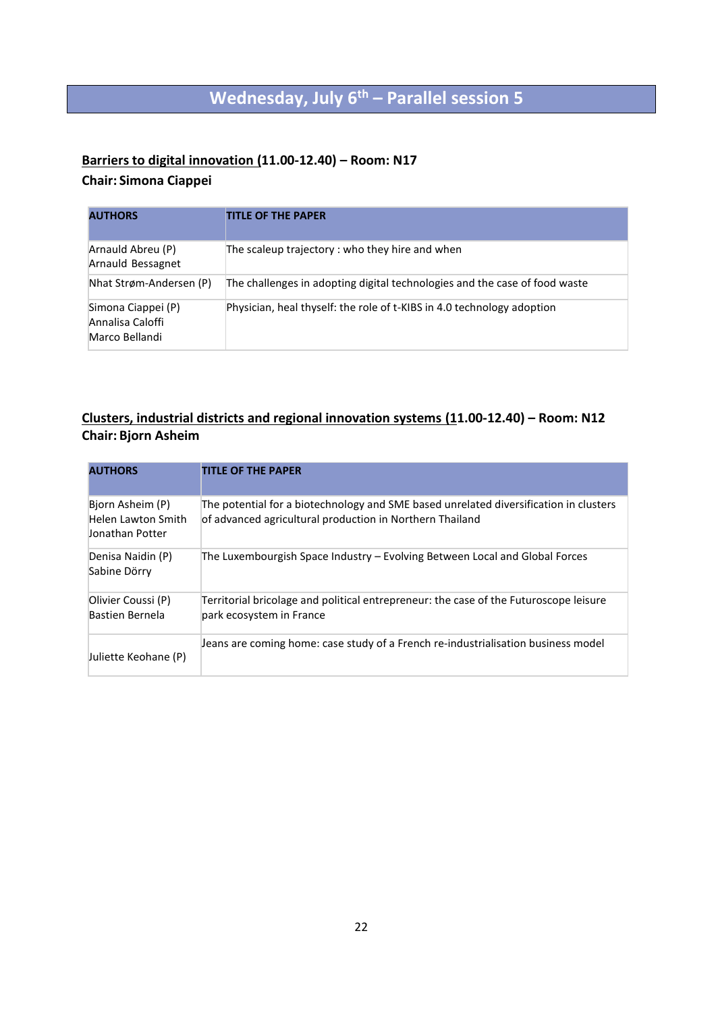## **Wednesday, July 6th – Parallel session 5**

#### **Barriers to digital innovation (11.00-12.40) – Room: N17**

### **Chair: Simona Ciappei**

| <b>AUTHORS</b>                                           | <b>TITLE OF THE PAPER</b>                                                  |
|----------------------------------------------------------|----------------------------------------------------------------------------|
| Arnauld Abreu (P)<br>Arnauld Bessagnet                   | The scaleup trajectory: who they hire and when                             |
| Nhat Strøm-Andersen (P)                                  | The challenges in adopting digital technologies and the case of food waste |
| Simona Ciappei (P)<br>Annalisa Caloffi<br>Marco Bellandi | Physician, heal thyself: the role of t-KIBS in 4.0 technology adoption     |

### **Clusters, industrial districts and regional innovation systems (11.00-12.40) – Room: N12 Chair: Bjorn Asheim**

| <b>AUTHORS</b>                                            | <b>TITLE OF THE PAPER</b>                                                                                                                         |
|-----------------------------------------------------------|---------------------------------------------------------------------------------------------------------------------------------------------------|
| Bjorn Asheim (P)<br>Helen Lawton Smith<br>Jonathan Potter | The potential for a biotechnology and SME based unrelated diversification in clusters<br>of advanced agricultural production in Northern Thailand |
| Denisa Naidin (P)<br>Sabine Dörry                         | The Luxembourgish Space Industry – Evolving Between Local and Global Forces                                                                       |
| Olivier Coussi (P)<br>Bastien Bernela                     | Territorial bricolage and political entrepreneur: the case of the Futuroscope leisure<br>park ecosystem in France                                 |
| Juliette Keohane (P)                                      | Jeans are coming home: case study of a French re-industrialisation business model                                                                 |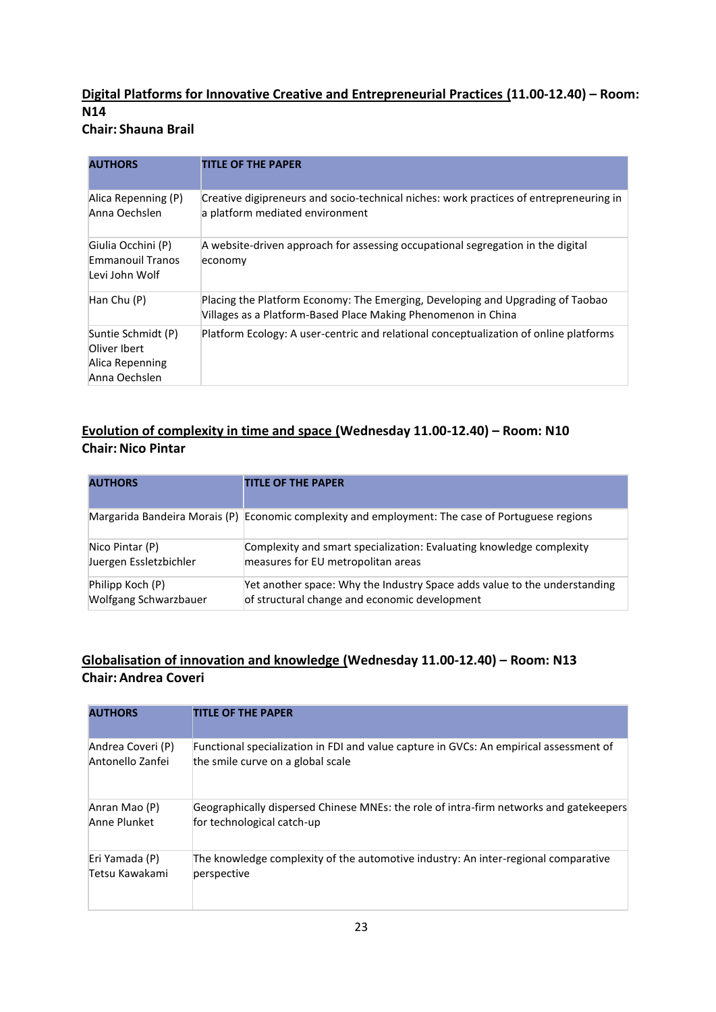## **Digital Platforms for Innovative Creative and Entrepreneurial Practices (11.00-12.40) – Room: N14**

**Chair: Shauna Brail**

| <b>AUTHORS</b>                                                         | <b>TITLE OF THE PAPER</b>                                                                                                                       |
|------------------------------------------------------------------------|-------------------------------------------------------------------------------------------------------------------------------------------------|
| Alica Repenning (P)<br>Anna Oechslen                                   | Creative digipreneurs and socio-technical niches: work practices of entrepreneuring in<br>a platform mediated environment                       |
| Giulia Occhini (P)<br>Emmanouil Tranos<br>Levi John Wolf               | A website-driven approach for assessing occupational segregation in the digital<br>economy                                                      |
| Han Chu (P)                                                            | Placing the Platform Economy: The Emerging, Developing and Upgrading of Taobao<br>Villages as a Platform-Based Place Making Phenomenon in China |
| Suntie Schmidt (P)<br>Oliver Ibert<br>Alica Repenning<br>Anna Oechslen | Platform Ecology: A user-centric and relational conceptualization of online platforms                                                           |

### **Evolution of complexity in time and space (Wednesday 11.00-12.40) – Room: N10 Chair: Nico Pintar**

| <b>AUTHORS</b>         | <b>TITLE OF THE PAPER</b>                                                                        |
|------------------------|--------------------------------------------------------------------------------------------------|
|                        | Margarida Bandeira Morais (P) Economic complexity and employment: The case of Portuguese regions |
| Nico Pintar (P)        | Complexity and smart specialization: Evaluating knowledge complexity                             |
| Juergen Essletzbichler | measures for EU metropolitan areas                                                               |
| Philipp Koch (P)       | Yet another space: Why the Industry Space adds value to the understanding                        |
| Wolfgang Schwarzbauer  | of structural change and economic development                                                    |

### **Globalisation of innovation and knowledge (Wednesday 11.00-12.40) – Room: N13 Chair: Andrea Coveri**

| <b>AUTHORS</b>    | <b>TITLE OF THE PAPER</b>                                                              |
|-------------------|----------------------------------------------------------------------------------------|
| Andrea Coveri (P) | Functional specialization in FDI and value capture in GVCs: An empirical assessment of |
| Antonello Zanfei  | the smile curve on a global scale                                                      |
| Anran Mao (P)     | Geographically dispersed Chinese MNEs: the role of intra-firm networks and gatekeepers |
| Anne Plunket      | for technological catch-up                                                             |
| Eri Yamada (P)    | The knowledge complexity of the automotive industry: An inter-regional comparative     |
| Tetsu Kawakami    | perspective                                                                            |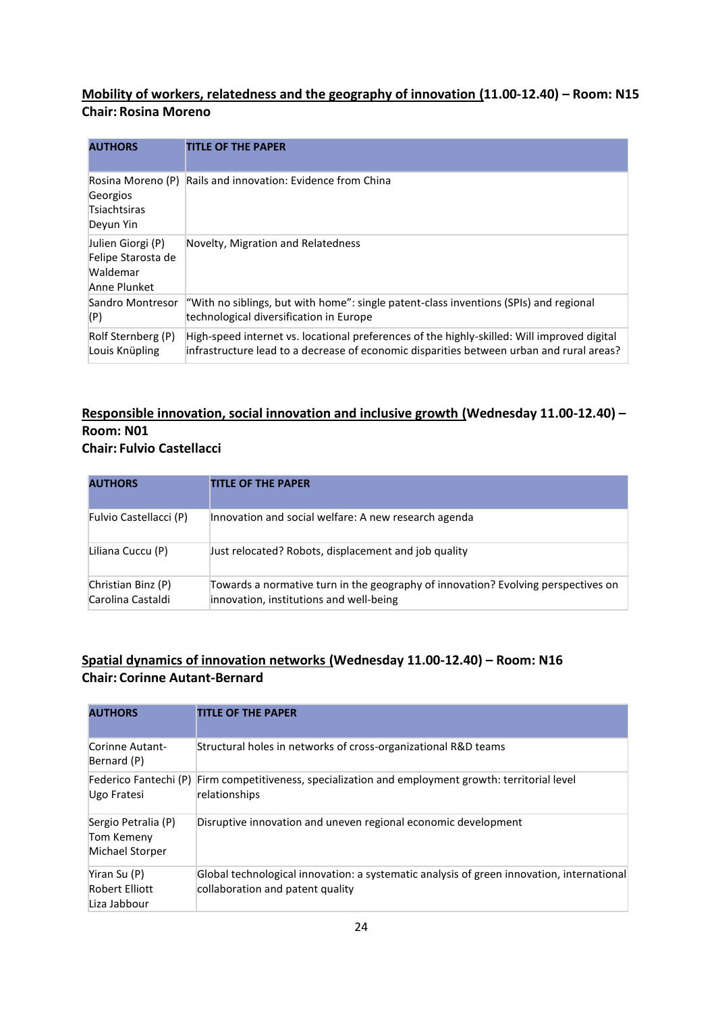### **Mobility of workers, relatedness and the geography of innovation (11.00-12.40) – Room: N15 Chair: Rosina Moreno**

| <b>AUTHORS</b>                                                      | <b>TITLE OF THE PAPER</b>                                                                                                                                                                |
|---------------------------------------------------------------------|------------------------------------------------------------------------------------------------------------------------------------------------------------------------------------------|
| Rosina Moreno (P)<br>Georgios<br>Tsiachtsiras<br>Deyun Yin          | Rails and innovation: Evidence from China                                                                                                                                                |
| Julien Giorgi (P)<br>Felipe Starosta de<br>Waldemar<br>Anne Plunket | Novelty, Migration and Relatedness                                                                                                                                                       |
| Sandro Montresor<br>(P)                                             | "With no siblings, but with home": single patent-class inventions (SPIs) and regional<br>technological diversification in Europe                                                         |
| Rolf Sternberg (P)<br>Louis Knüpling                                | High-speed internet vs. locational preferences of the highly-skilled: Will improved digital<br>[infrastructure lead to a decrease of economic disparities between urban and rural areas? |

#### **Responsible innovation, social innovation and inclusive growth (Wednesday 11.00-12.40) – Room: N01 Chair: Fulvio Castellacci**

| <b>AUTHORS</b>                          | <b>TITLE OF THE PAPER</b>                                                                                                    |
|-----------------------------------------|------------------------------------------------------------------------------------------------------------------------------|
| Fulvio Castellacci (P)                  | Innovation and social welfare: A new research agenda                                                                         |
| Liliana Cuccu (P)                       | Just relocated? Robots, displacement and job quality                                                                         |
| Christian Binz (P)<br>Carolina Castaldi | Towards a normative turn in the geography of innovation? Evolving perspectives on<br>innovation, institutions and well-being |

### **Spatial dynamics of innovation networks (Wednesday 11.00-12.40) – Room: N16 Chair: Corinne Autant-Bernard**

| <b>AUTHORS</b>                                       | <b>TITLE OF THE PAPER</b>                                                                                                     |
|------------------------------------------------------|-------------------------------------------------------------------------------------------------------------------------------|
| Corinne Autant-<br>Bernard (P)                       | Structural holes in networks of cross-organizational R&D teams                                                                |
| Ugo Fratesi                                          | Federico Fantechi (P) Firm competitiveness, specialization and employment growth: territorial level<br>relationships          |
| Sergio Petralia (P)<br>Tom Kemeny<br>Michael Storper | Disruptive innovation and uneven regional economic development                                                                |
| Yiran Su (P)<br>Robert Elliott<br>Liza Jabbour       | Global technological innovation: a systematic analysis of green innovation, international<br>collaboration and patent quality |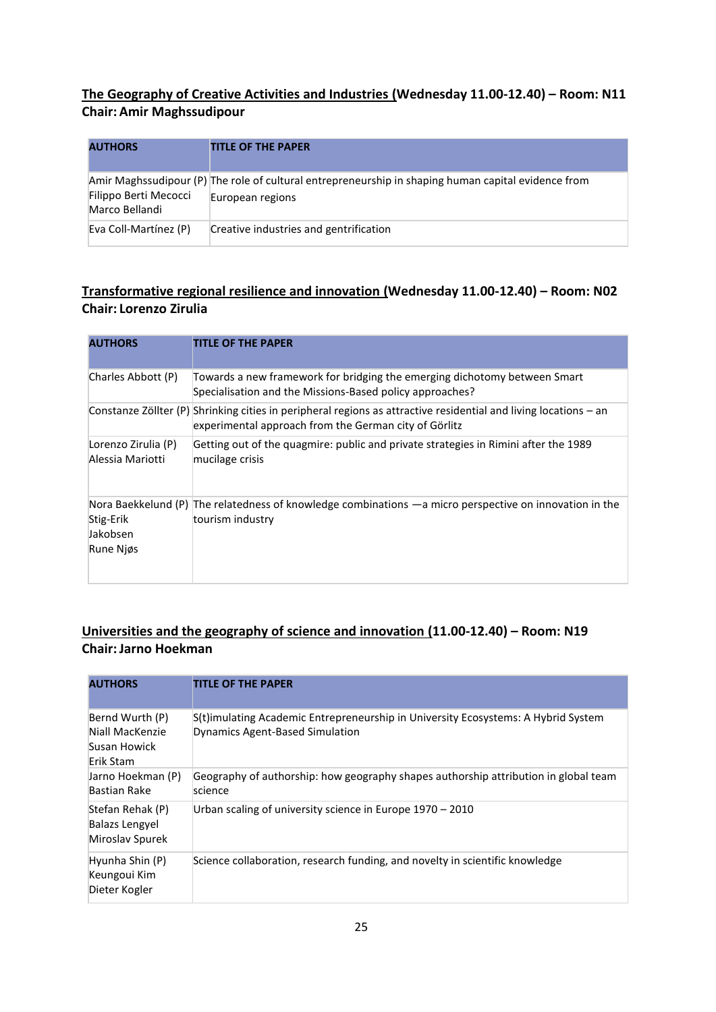### **The Geography of Creative Activities and Industries (Wednesday 11.00-12.40) – Room: N11 Chair: Amir Maghssudipour**

| <b>AUTHORS</b>                          | <b>TITLE OF THE PAPER</b>                                                                                               |
|-----------------------------------------|-------------------------------------------------------------------------------------------------------------------------|
| Filippo Berti Mecocci<br>Marco Bellandi | Amir Maghssudipour (P) The role of cultural entrepreneurship in shaping human capital evidence from<br>European regions |
| Eva Coll-Martínez (P)                   | Creative industries and gentrification                                                                                  |

### **Transformative regional resilience and innovation (Wednesday 11.00-12.40) – Room: N02 Chair: Lorenzo Zirulia**

| <b>AUTHORS</b>                          | <b>TITLE OF THE PAPER</b>                                                                                                                                                 |
|-----------------------------------------|---------------------------------------------------------------------------------------------------------------------------------------------------------------------------|
| Charles Abbott (P)                      | Towards a new framework for bridging the emerging dichotomy between Smart<br>Specialisation and the Missions-Based policy approaches?                                     |
|                                         | Constanze Zöllter (P) Shrinking cities in peripheral regions as attractive residential and living locations – an<br>experimental approach from the German city of Görlitz |
| Lorenzo Zirulia (P)<br>Alessia Mariotti | Getting out of the quagmire: public and private strategies in Rimini after the 1989<br>mucilage crisis                                                                    |
| Stig-Erik<br>Jakobsen<br>Rune Njøs      | Nora Baekkelund (P) The relatedness of knowledge combinations $-a$ micro perspective on innovation in the<br>tourism industry                                             |

### **Universities and the geography of science and innovation (11.00-12.40) – Room: N19 Chair:Jarno Hoekman**

| <b>AUTHORS</b>                                                  | <b>TITLE OF THE PAPER</b>                                                                                            |
|-----------------------------------------------------------------|----------------------------------------------------------------------------------------------------------------------|
| Bernd Wurth (P)<br>Niall MacKenzie<br>Susan Howick<br>Erik Stam | S(t)imulating Academic Entrepreneurship in University Ecosystems: A Hybrid System<br>Dynamics Agent-Based Simulation |
| Jarno Hoekman (P)<br>Bastian Rake                               | Geography of authorship: how geography shapes authorship attribution in global team<br>science                       |
| Stefan Rehak (P)<br><b>Balazs Lengyel</b><br>Miroslav Spurek    | Urban scaling of university science in Europe 1970 – 2010                                                            |
| Hyunha Shin (P)<br>Keungoui Kim<br>Dieter Kogler                | Science collaboration, research funding, and novelty in scientific knowledge                                         |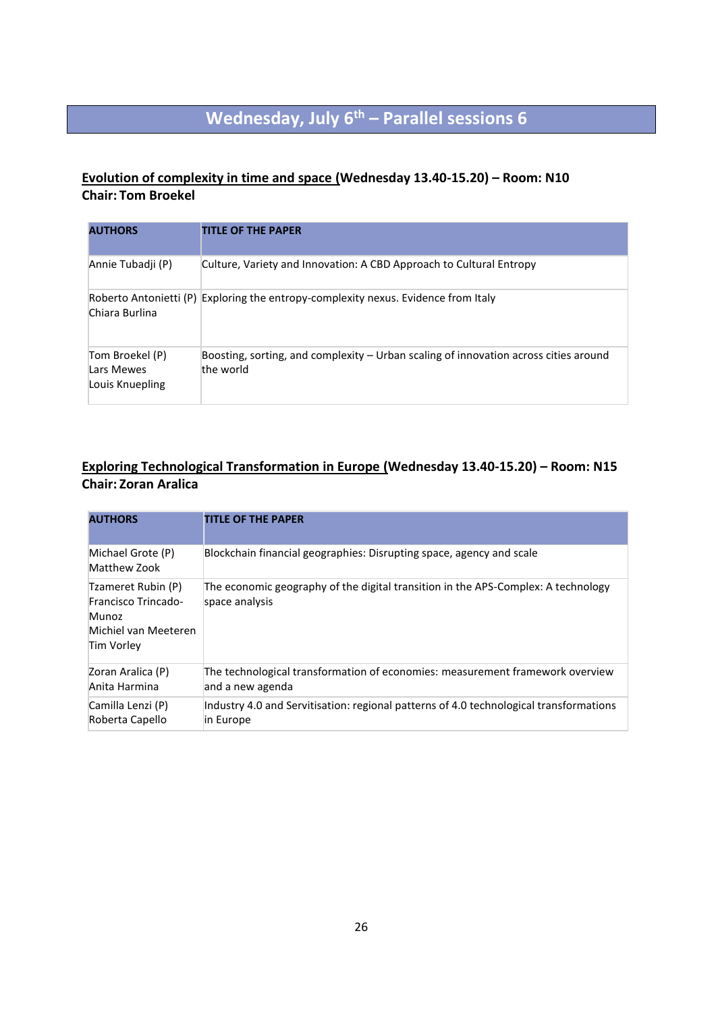# **Wednesday, July 6th – Parallel sessions 6**

### **Evolution of complexity in time and space (Wednesday 13.40-15.20) – Room: N10 Chair: Tom Broekel**

| <b>AUTHORS</b>                                   | <b>TITLE OF THE PAPER</b>                                                                         |
|--------------------------------------------------|---------------------------------------------------------------------------------------------------|
| Annie Tubadji (P)                                | Culture, Variety and Innovation: A CBD Approach to Cultural Entropy                               |
| Chiara Burlina                                   | Roberto Antonietti (P) Exploring the entropy-complexity nexus. Evidence from Italy                |
| Tom Broekel (P)<br>Lars Mewes<br>Louis Knuepling | Boosting, sorting, and complexity - Urban scaling of innovation across cities around<br>the world |

### **Exploring Technological Transformation in Europe (Wednesday 13.40-15.20) – Room: N15 Chair: Zoran Aralica**

| <b>AUTHORS</b>                                                                           | <b>TITLE OF THE PAPER</b>                                                                           |
|------------------------------------------------------------------------------------------|-----------------------------------------------------------------------------------------------------|
| Michael Grote (P)<br>Matthew Zook                                                        | Blockchain financial geographies: Disrupting space, agency and scale                                |
| Tzameret Rubin (P)<br>Francisco Trincado-<br>Munoz<br>Michiel van Meeteren<br>Tim Vorley | The economic geography of the digital transition in the APS-Complex: A technology<br>space analysis |
| Zoran Aralica (P)<br>Anita Harmina                                                       | The technological transformation of economies: measurement framework overview<br>and a new agenda   |
| Camilla Lenzi (P)<br>Roberta Capello                                                     | Industry 4.0 and Servitisation: regional patterns of 4.0 technological transformations<br>in Europe |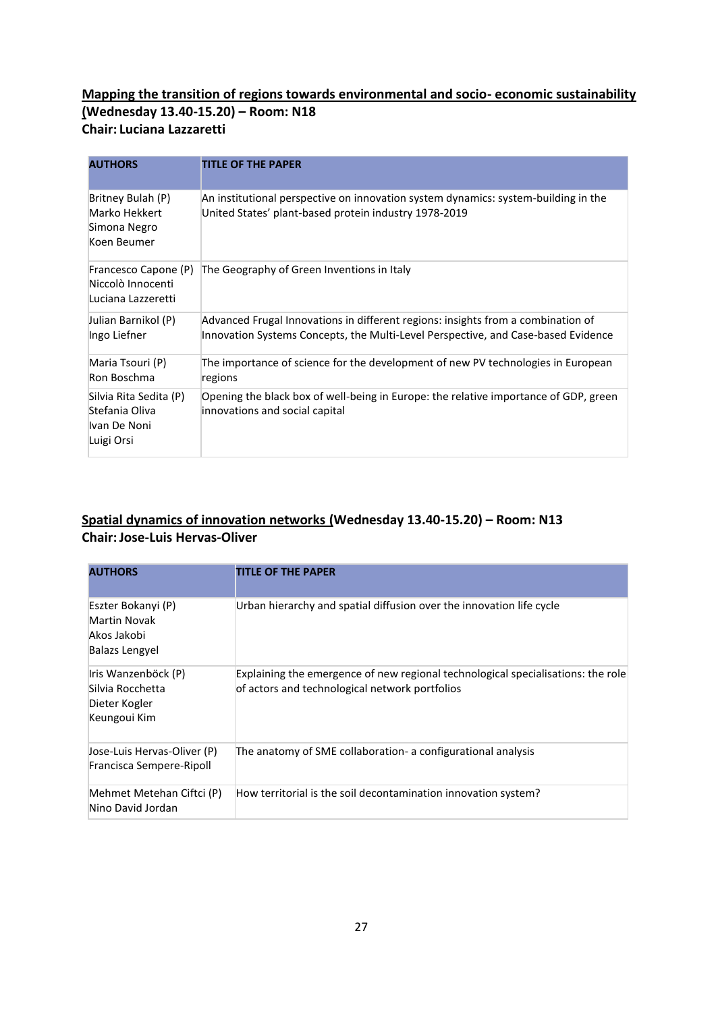### **Mapping the transition of regions towards environmental and socio- economic sustainability (Wednesday 13.40-15.20) – Room: N18 Chair: Luciana Lazzaretti**

| <b>AUTHORS</b>                                                         | <b>TITLE OF THE PAPER</b>                                                                                                                                             |
|------------------------------------------------------------------------|-----------------------------------------------------------------------------------------------------------------------------------------------------------------------|
| Britney Bulah (P)<br>Marko Hekkert<br>Simona Negro<br>Koen Beumer      | An institutional perspective on innovation system dynamics: system-building in the<br>United States' plant-based protein industry 1978-2019                           |
| Francesco Capone (P)<br>Niccolò Innocenti<br>Luciana Lazzeretti        | The Geography of Green Inventions in Italy                                                                                                                            |
| Julian Barnikol (P)<br>Ingo Liefner                                    | Advanced Frugal Innovations in different regions: insights from a combination of<br>Innovation Systems Concepts, the Multi-Level Perspective, and Case-based Evidence |
| Maria Tsouri (P)<br>Ron Boschma                                        | The importance of science for the development of new PV technologies in European<br>regions                                                                           |
| Silvia Rita Sedita (P)<br>Stefania Oliva<br>Ivan De Noni<br>Luigi Orsi | Opening the black box of well-being in Europe: the relative importance of GDP, green<br>innovations and social capital                                                |

### **Spatial dynamics of innovation networks (Wednesday 13.40-15.20) – Room: N13 Chair:Jose-Luis Hervas-Oliver**

| <b>AUTHORS</b>                                                             | <b>TITLE OF THE PAPER</b>                                                                                                          |
|----------------------------------------------------------------------------|------------------------------------------------------------------------------------------------------------------------------------|
| Eszter Bokanyi (P)<br>Martin Novak<br>Akos Jakobi<br><b>Balazs Lengyel</b> | Urban hierarchy and spatial diffusion over the innovation life cycle                                                               |
| Iris Wanzenböck (P)<br>Silvia Rocchetta<br>Dieter Kogler<br>Keungoui Kim   | Explaining the emergence of new regional technological specialisations: the role<br>of actors and technological network portfolios |
| Jose-Luis Hervas-Oliver (P)<br>Francisca Sempere-Ripoll                    | The anatomy of SME collaboration- a configurational analysis                                                                       |
| Mehmet Metehan Ciftci (P)<br>Nino David Jordan                             | How territorial is the soil decontamination innovation system?                                                                     |